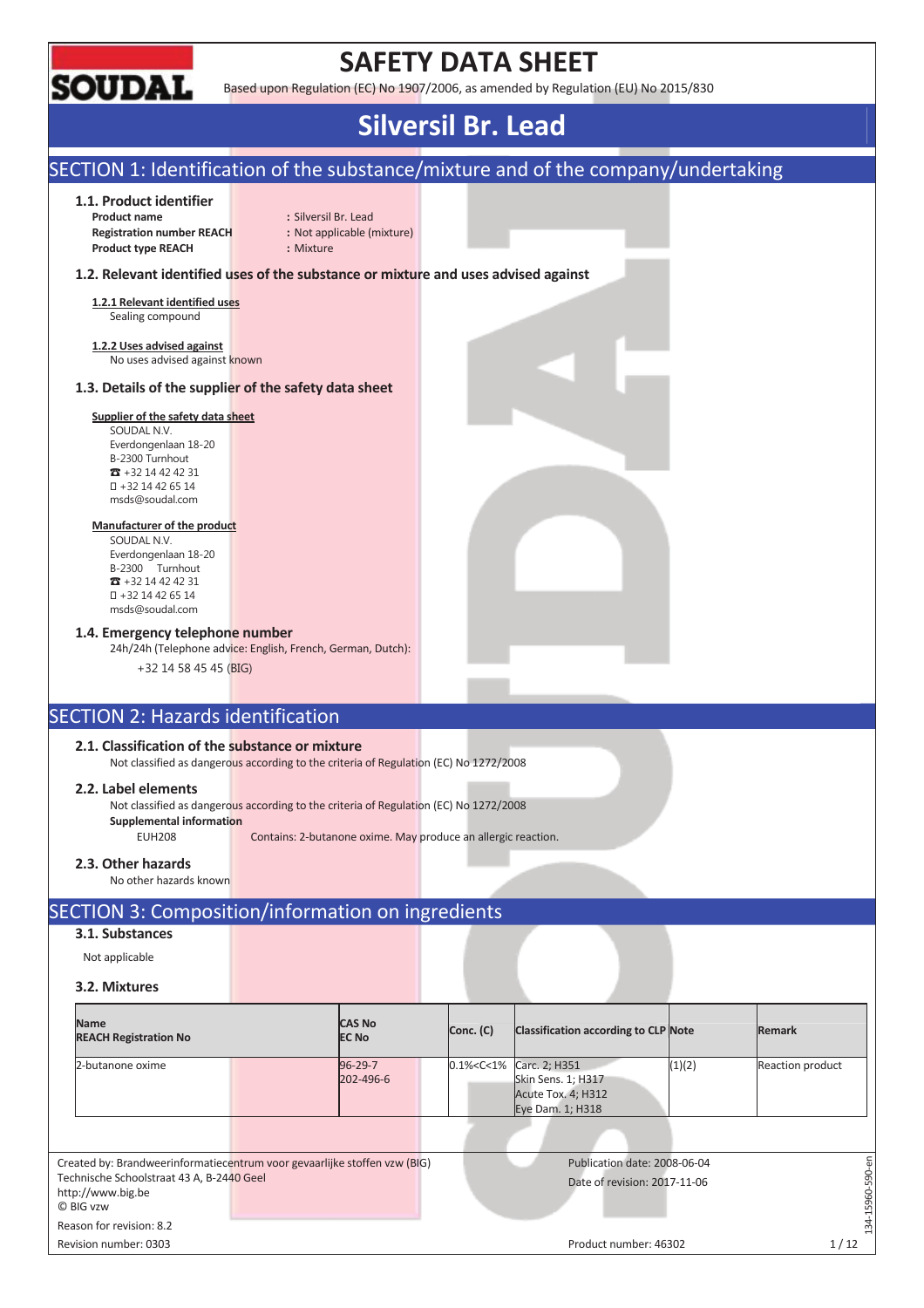

# **SAFETY DATA SHEET**

Based upon Regulation (EC) No 1907/2006, as amended by Regulation (EU) No 2015/830

# **Silversil Br. Lead**

## SECTION 1: Identification of the substance/mixture and of the company/undertaking

### **1.1. Product identifier**

**Product name :** Silversil Br. Lead **Registration number REACH :** Not applicable (mixture) **Product type REACH :** Mixture

### **1.2. Relevant identified uses of the substance or mixture and uses advised against**

**1.2.1 Relevant identified uses**  Sealing compound

**1.2.2 Uses advised against**  No uses advised against known

### **1.3. Details of the supplier of the safety data sheet**

### **Supplier of the safety data sheet**

SOUDAL N.V. Everdongenlaan 18-20 B-2300 Turnhout  $73 + 32 14 42 42 31$  +32 14 42 65 14 msds@soudal.com

#### **Manufacturer of the product**

SOUDAL N.V. Everdongenlaan 18-20 B-2300 Turnhout  $\overline{3}$  +32 14 42 42 31 +32 14 42 65 14 msds@soudal.com

### **1.4. Emergency telephone number**

24h/24h (Telephone advice: English, French, German, Dutch):

+32 14 58 45 45 (BIG)

## SECTION 2: Hazards identification

### **2.1. Classification of the substance or mixture**

Not classified as dangerous according to the criteria of Regulation (EC) No 1272/2008

### **2.2. Label elements**

Not classified as dangerous according to the criteria of Regulation (EC) No 1272/2008

**Supplemental information** 

EUH208 Contains: 2-butanone oxime. May produce an allergic reaction.

### **2.3. Other hazards**

No other hazards known

## SECTION 3: Composition/information on ingredients

## **3.1. Substances**

Not applicable

### **3.2. Mixtures**

| <b>Name</b><br><b>REACH Registration No</b>                                                                                                              | <b>CAS No</b><br><b>EC No</b> | Conc. (C)     | <b>Classification according to CLP Note</b>                                   |        | <b>Remark</b>       |
|----------------------------------------------------------------------------------------------------------------------------------------------------------|-------------------------------|---------------|-------------------------------------------------------------------------------|--------|---------------------|
| 2-butanone oxime                                                                                                                                         | $96 - 29 - 7$<br>202-496-6    | 0.1% < C < 1% | Carc. 2; H351<br>Skin Sens. 1; H317<br>Acute Tox. 4; H312<br>Eye Dam. 1; H318 | (1)(2) | Reaction product    |
| Created by: Brandweerinformatiecentrum voor gevaarlijke stoffen vzw (BIG)<br>Technische Schoolstraat 43 A, B-2440 Geel<br>http://www.big.be<br>© BIG vzw |                               |               | Publication date: 2008-06-04<br>Date of revision: 2017-11-06                  |        | 5<br>590-<br>15960- |
| Reason for revision: 8.2                                                                                                                                 |                               |               |                                                                               |        | 134                 |
| Revision number: 0303                                                                                                                                    |                               |               | Product number: 46302                                                         |        | 1/12                |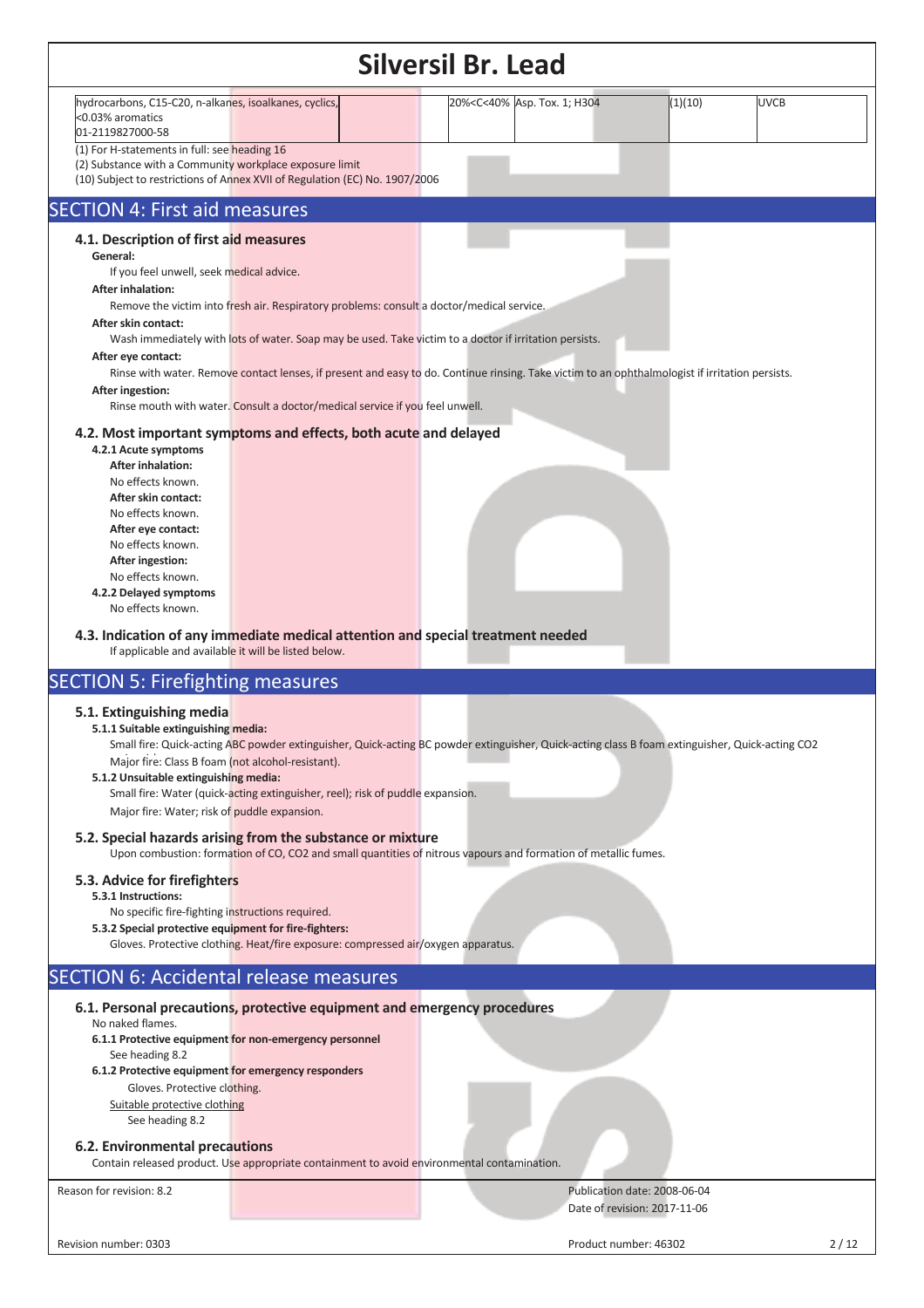| <b>Silversil Br. Lead</b>                                                                                                                                                                                                                                                                                                                                                                                                                                                                                                                                                                                                                                                                                                                                                                                                                                                                                                                                                                                                                                   |                                                                            |  |  |  |  |  |  |  |  |  |
|-------------------------------------------------------------------------------------------------------------------------------------------------------------------------------------------------------------------------------------------------------------------------------------------------------------------------------------------------------------------------------------------------------------------------------------------------------------------------------------------------------------------------------------------------------------------------------------------------------------------------------------------------------------------------------------------------------------------------------------------------------------------------------------------------------------------------------------------------------------------------------------------------------------------------------------------------------------------------------------------------------------------------------------------------------------|----------------------------------------------------------------------------|--|--|--|--|--|--|--|--|--|
| hydrocarbons, C15-C20, n-alkanes, isoalkanes, cyclics,<br><0.03% aromatics<br>01-2119827000-58<br>(1) For H-statements in full: see heading 16<br>(2) Substance with a Community workplace exposure limit<br>(10) Subject to restrictions of Annex XVII of Regulation (EC) No. 1907/2006                                                                                                                                                                                                                                                                                                                                                                                                                                                                                                                                                                                                                                                                                                                                                                    | <b>UVCB</b><br>20% <c<40% 1;="" asp.="" h304<br="" tox.="">(1)(10)</c<40%> |  |  |  |  |  |  |  |  |  |
| <b>SECTION 4: First aid measures</b>                                                                                                                                                                                                                                                                                                                                                                                                                                                                                                                                                                                                                                                                                                                                                                                                                                                                                                                                                                                                                        |                                                                            |  |  |  |  |  |  |  |  |  |
| 4.1. Description of first aid measures<br>General:<br>If you feel unwell, seek medical advice.<br><b>After inhalation:</b><br>Remove the victim into fresh air. Respiratory problems: consult a doctor/medical service.<br>After skin contact:<br>Wash immediately with lots of water. Soap may be used. Take victim to a doctor if irritation persists.<br>After eye contact:<br>Rinse with water. Remove contact lenses, if present and easy to do. Continue rinsing. Take victim to an ophthalmologist if irritation persists.<br>After ingestion:<br>Rinse mouth with water. Consult a doctor/medical service if you feel unwell.<br>4.2. Most important symptoms and effects, both acute and delayed<br>4.2.1 Acute symptoms<br><b>After inhalation:</b><br>No effects known.<br>After skin contact:<br>No effects known.<br>After eye contact:<br>No effects known.<br><b>After ingestion:</b><br>No effects known.<br>4.2.2 Delayed symptoms<br>No effects known.<br>4.3. Indication of any immediate medical attention and special treatment needed |                                                                            |  |  |  |  |  |  |  |  |  |
| If applicable and available it will be listed below.                                                                                                                                                                                                                                                                                                                                                                                                                                                                                                                                                                                                                                                                                                                                                                                                                                                                                                                                                                                                        |                                                                            |  |  |  |  |  |  |  |  |  |
| <b>SECTION 5: Firefighting measures</b><br>5.1. Extinguishing media<br>5.1.1 Suitable extinguishing media:<br>Small fire: Quick-acting ABC powder extinguisher, Quick-acting BC powder extinguisher, Quick-acting class B foam extinguisher, Quick-acting CO2<br>Major fire: Class B foam (not alcohol-resistant).<br>5.1.2 Unsuitable extinguishing media:<br>Small fire: Water (quick-acting extinguisher, reel); risk of puddle expansion.<br>Major fire: Water; risk of puddle expansion.<br>5.2. Special hazards arising from the substance or mixture<br>Upon combustion: formation of CO, CO2 and small quantities of nitrous vapours and formation of metallic fumes.<br>5.3. Advice for firefighters                                                                                                                                                                                                                                                                                                                                               |                                                                            |  |  |  |  |  |  |  |  |  |
| 5.3.1 Instructions:<br>No specific fire-fighting instructions required.<br>5.3.2 Special protective equipment for fire-fighters:<br>Gloves. Protective clothing. Heat/fire exposure: compressed air/oxygen apparatus.                                                                                                                                                                                                                                                                                                                                                                                                                                                                                                                                                                                                                                                                                                                                                                                                                                       |                                                                            |  |  |  |  |  |  |  |  |  |
| <b>SECTION 6: Accidental release measures</b>                                                                                                                                                                                                                                                                                                                                                                                                                                                                                                                                                                                                                                                                                                                                                                                                                                                                                                                                                                                                               |                                                                            |  |  |  |  |  |  |  |  |  |
| 6.1. Personal precautions, protective equipment and emergency procedures<br>No naked flames.<br>6.1.1 Protective equipment for non-emergency personnel<br>See heading 8.2<br>6.1.2 Protective equipment for emergency responders<br>Gloves. Protective clothing.<br>Suitable protective clothing<br>See heading 8.2<br>6.2. Environmental precautions<br>Contain released product. Use appropriate containment to avoid environmental contamination.                                                                                                                                                                                                                                                                                                                                                                                                                                                                                                                                                                                                        |                                                                            |  |  |  |  |  |  |  |  |  |
| Reason for revision: 8.2                                                                                                                                                                                                                                                                                                                                                                                                                                                                                                                                                                                                                                                                                                                                                                                                                                                                                                                                                                                                                                    | Publication date: 2008-06-04<br>Date of revision: 2017-11-06               |  |  |  |  |  |  |  |  |  |
| Revision number: 0303                                                                                                                                                                                                                                                                                                                                                                                                                                                                                                                                                                                                                                                                                                                                                                                                                                                                                                                                                                                                                                       | Product number: 46302<br>2/12                                              |  |  |  |  |  |  |  |  |  |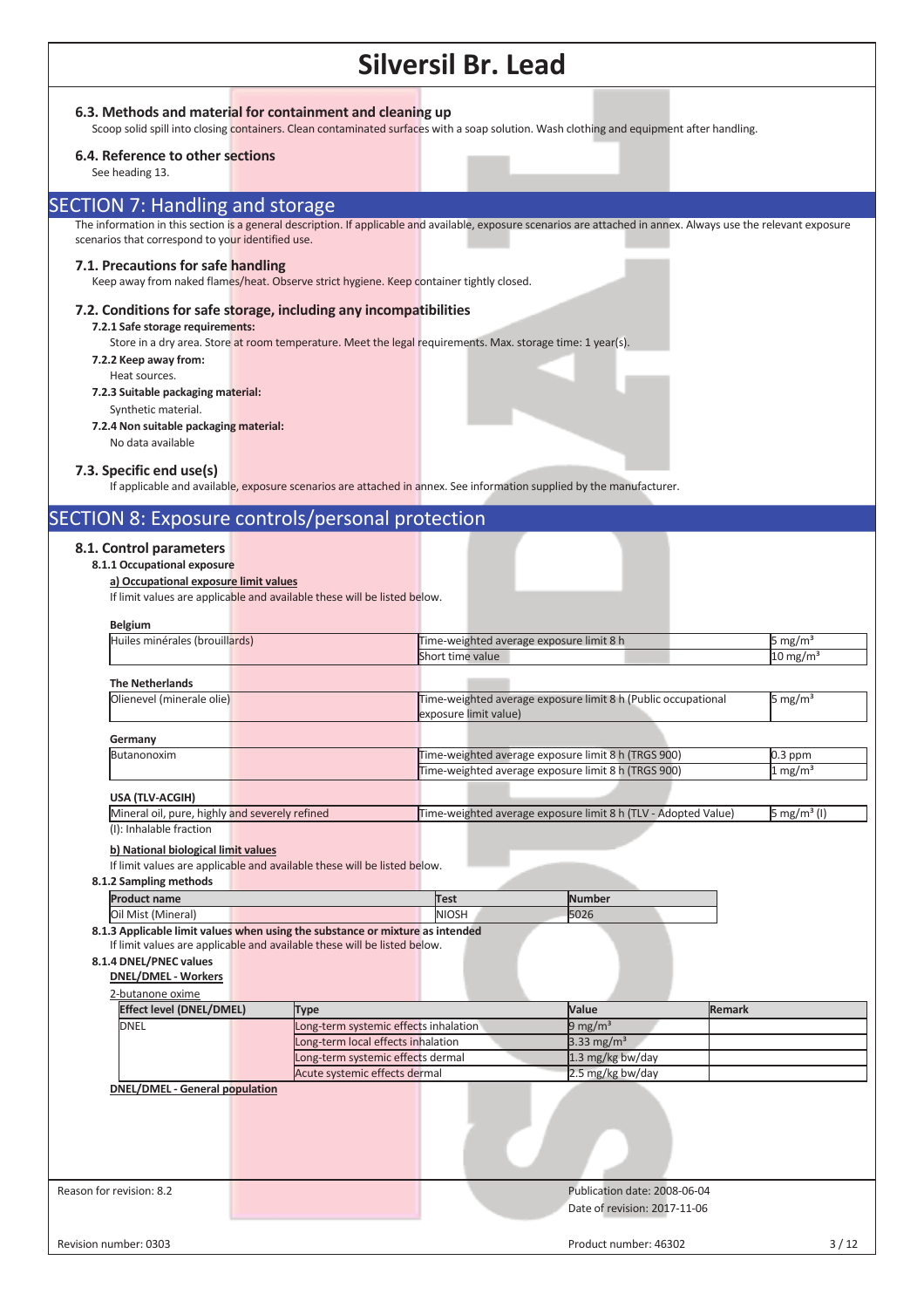### **6.3. Methods and material for containment and cleaning up**

Scoop solid spill into closing containers. Clean contaminated surfaces with a soap solution. Wash clothing and equipment after handling.

#### **6.4. Reference to other sections**

See heading 13.

### SECTION 7: Handling and storage

The information in this section is a general description. If applicable and available, exposure scenarios are attached in annex. Always use the relevant exposure scenarios that correspond to your identified use.

### **7.1. Precautions for safe handling**

Keep away from naked flames/heat. Observe strict hygiene. Keep container tightly closed.

### **7.2. Conditions for safe storage, including any incompatibilities**

### **7.2.1 Safe storage requirements:**

Store in a dry area. Store at room temperature. Meet the legal requirements. Max. storage time: 1 year(s).

- **7.2.2 Keep away from:**
- Heat sources.
- **7.2.3 Suitable packaging material:** 
	- Synthetic material.
- **7.2.4 Non suitable packaging material:**
	- No data available

#### **7.3. Specific end use(s)**

If applicable and available, exposure scenarios are attached in annex. See information supplied by the manufacturer.

# SECTION 8: Exposure controls/personal protection

### **8.1. Control parameters**

### **8.1.1 Occupational exposure**

**a) Occupational exposure limit values** 

If limit values are applicable and available these will be listed below.

| <b>Belgium</b>                                                                                     |                                                                               |                                                                                                      |                                                                |               |                         |  |  |  |
|----------------------------------------------------------------------------------------------------|-------------------------------------------------------------------------------|------------------------------------------------------------------------------------------------------|----------------------------------------------------------------|---------------|-------------------------|--|--|--|
| Huiles minérales (brouillards)                                                                     |                                                                               | Time-weighted average exposure limit 8 h                                                             |                                                                |               | 5 mg/m $3$              |  |  |  |
|                                                                                                    |                                                                               | Short time value                                                                                     |                                                                |               | $10 \text{ mg/m}^3$     |  |  |  |
| <b>The Netherlands</b>                                                                             |                                                                               |                                                                                                      |                                                                |               |                         |  |  |  |
| Olienevel (minerale olie)                                                                          |                                                                               | Time-weighted average exposure limit 8 h (Public occupational<br>5 mg/ $m3$<br>exposure limit value) |                                                                |               |                         |  |  |  |
| Germany                                                                                            |                                                                               |                                                                                                      |                                                                |               |                         |  |  |  |
| <b>Butanonoxim</b>                                                                                 |                                                                               |                                                                                                      | Time-weighted average exposure limit 8 h (TRGS 900)            |               | $0.3$ ppm               |  |  |  |
|                                                                                                    |                                                                               |                                                                                                      | Time-weighted average exposure limit 8 h (TRGS 900)            |               | $1 \text{ mg/m}^3$      |  |  |  |
| USA (TLV-ACGIH)                                                                                    |                                                                               |                                                                                                      |                                                                |               |                         |  |  |  |
| Mineral oil, pure, highly and severely refined                                                     |                                                                               |                                                                                                      | Time-weighted average exposure limit 8 h (TLV - Adopted Value) |               | 5 mg/m <sup>3</sup> (I) |  |  |  |
| If limit values are applicable and available these will be listed below.<br>8.1.2 Sampling methods |                                                                               |                                                                                                      |                                                                |               |                         |  |  |  |
| <b>Product name</b>                                                                                |                                                                               | Test                                                                                                 | <b>Number</b>                                                  |               |                         |  |  |  |
| Oil Mist (Mineral)                                                                                 |                                                                               | <b>NIOSH</b>                                                                                         | 5026                                                           |               |                         |  |  |  |
| If limit values are applicable and available these will be listed below.                           | 8.1.3 Applicable limit values when using the substance or mixture as intended |                                                                                                      |                                                                |               |                         |  |  |  |
| <b>DNEL/DMEL - Workers</b>                                                                         |                                                                               |                                                                                                      |                                                                |               |                         |  |  |  |
| 2-butanone oxime                                                                                   |                                                                               |                                                                                                      |                                                                |               |                         |  |  |  |
| <b>Effect level (DNEL/DMEL)</b>                                                                    | <b>Type</b>                                                                   |                                                                                                      | Value                                                          | <b>Remark</b> |                         |  |  |  |
| <b>DNEL</b>                                                                                        | Long-term systemic effects inhalation                                         |                                                                                                      | $9 \,\mathrm{mg/m^3}$                                          |               |                         |  |  |  |
|                                                                                                    | Long-term local effects inhalation                                            |                                                                                                      | 3.33 mg/ $m3$                                                  |               |                         |  |  |  |
|                                                                                                    | Long-term systemic effects dermal                                             |                                                                                                      | 1.3 mg/kg bw/day                                               |               |                         |  |  |  |
|                                                                                                    | Acute systemic effects dermal                                                 |                                                                                                      | 2.5 mg/kg bw/day                                               |               |                         |  |  |  |
| <b>DNEL/DMEL - General population</b>                                                              |                                                                               |                                                                                                      |                                                                |               |                         |  |  |  |
|                                                                                                    |                                                                               |                                                                                                      |                                                                |               |                         |  |  |  |
|                                                                                                    |                                                                               |                                                                                                      |                                                                |               |                         |  |  |  |
| 8.1.4 DNEL/PNEC values<br>Reason for revision: 8.2                                                 |                                                                               |                                                                                                      | Publication date: 2008-06-04                                   |               |                         |  |  |  |
|                                                                                                    |                                                                               |                                                                                                      | Date of revision: 2017-11-06                                   |               |                         |  |  |  |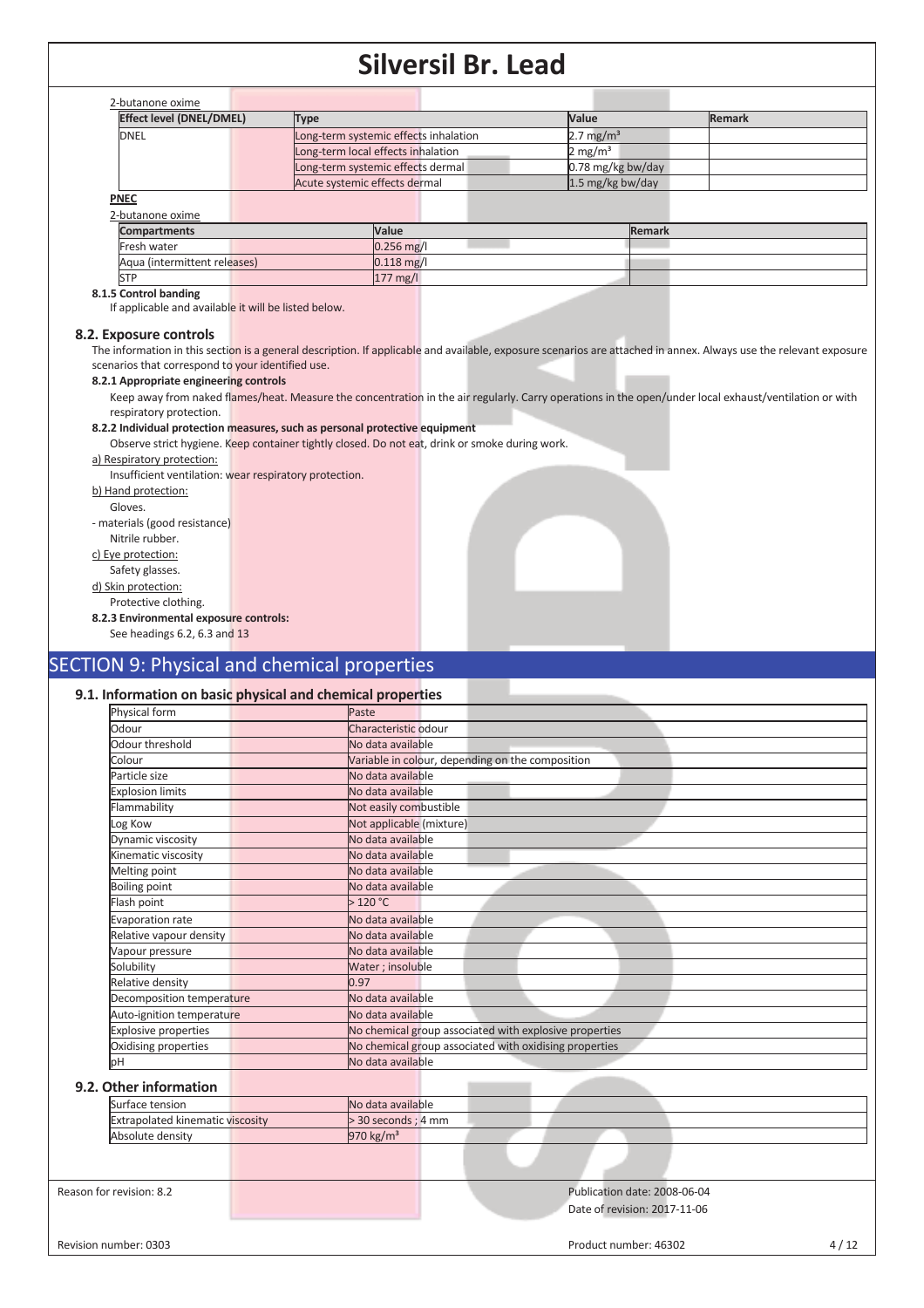| 2-butanone oxime                |                                       |                       |                   |               |  |
|---------------------------------|---------------------------------------|-----------------------|-------------------|---------------|--|
| <b>Effect level (DNEL/DMEL)</b> | Type                                  | <b>Value</b>          |                   | <b>Remark</b> |  |
| <b>DNEL</b>                     | Long-term systemic effects inhalation | 2.7 mg/m <sup>3</sup> |                   |               |  |
|                                 | Long-term local effects inhalation    | 2 mg/m <sup>3</sup>   |                   |               |  |
|                                 | Long-term systemic effects dermal     |                       | 0.78 mg/kg bw/day |               |  |
|                                 | Acute systemic effects dermal         |                       | 1.5 mg/kg bw/day  |               |  |
| <b>PNEC</b>                     |                                       |                       |                   |               |  |
| 2-butanone oxime                |                                       |                       |                   |               |  |
| <b>Compartments</b>             | Value                                 |                       | <b>Remark</b>     |               |  |
| Fresh water                     | $0.256$ mg/l                          |                       |                   |               |  |
| Aqua (intermittent releases)    | $0.118$ mg/l                          |                       |                   |               |  |
| <b>STP</b>                      | $177 \text{ mg/l}$                    |                       |                   |               |  |

### **8.1.5 Control banding**

If applicable and available it will be listed below.

#### **8.2. Exposure controls**

The information in this section is a general description. If applicable and available, exposure scenarios are attached in annex. Always use the relevant exposure scenarios that correspond to your identified use.

### **8.2.1 Appropriate engineering controls**

Keep away from naked flames/heat. Measure the concentration in the air regularly. Carry operations in the open/under local exhaust/ventilation or with respiratory protection.

#### **8.2.2 Individual protection measures, such as personal protective equipment**

Observe strict hygiene. Keep container tightly closed. Do not eat, drink or smoke during work.

### a) Respiratory protection:

Insufficient ventilation: wear respiratory protection.

### b) Hand protection:

Gloves.

- materials (good resistance) Nitrile rubber.

c) Eye protection:

Safety glasses.

d) Skin protection:

Protective clothing.

**8.2.3 Environmental exposure controls:** 

See headings 6.2, 6.3 and 13

# SECTION 9: Physical and chemical properties

### **9.1. Information on basic physical and chemical properties**

| Physical form               | Paste                                                  |  |
|-----------------------------|--------------------------------------------------------|--|
| Odour                       | Characteristic odour                                   |  |
| Odour threshold             | No data available                                      |  |
| Colour                      | Variable in colour, depending on the composition       |  |
| Particle size               | No data available                                      |  |
| <b>Explosion limits</b>     | No data available                                      |  |
| Flammability                | Not easily combustible                                 |  |
| Log Kow                     | Not applicable (mixture)                               |  |
| Dynamic viscosity           | No data available                                      |  |
| Kinematic viscosity         | No data available                                      |  |
| Melting point               | No data available                                      |  |
| <b>Boiling point</b>        | No data available                                      |  |
| Flash point                 | >120 °C                                                |  |
| Evaporation rate            | No data available                                      |  |
| Relative vapour density     | No data available                                      |  |
| Vapour pressure             | No data available                                      |  |
| Solubility                  | Water; insoluble                                       |  |
| Relative density            | 0.97                                                   |  |
| Decomposition temperature   | No data available                                      |  |
| Auto-ignition temperature   | No data available                                      |  |
| <b>Explosive properties</b> | No chemical group associated with explosive properties |  |
| Oxidising properties        | No chemical group associated with oxidising properties |  |
| pH                          | No data available                                      |  |
| 9.2. Other information      |                                                        |  |
| Surface tension             | No data available                                      |  |

| Duriace terision                        | iivu udta dvalidule   |  |  |  |  |  |
|-----------------------------------------|-----------------------|--|--|--|--|--|
| <b>Extrapolated kinematic viscosity</b> | $>$ 30 seconds ; 4 mm |  |  |  |  |  |
| Absolute density                        | 970 $\text{kg/m}^3$   |  |  |  |  |  |
|                                         |                       |  |  |  |  |  |
|                                         |                       |  |  |  |  |  |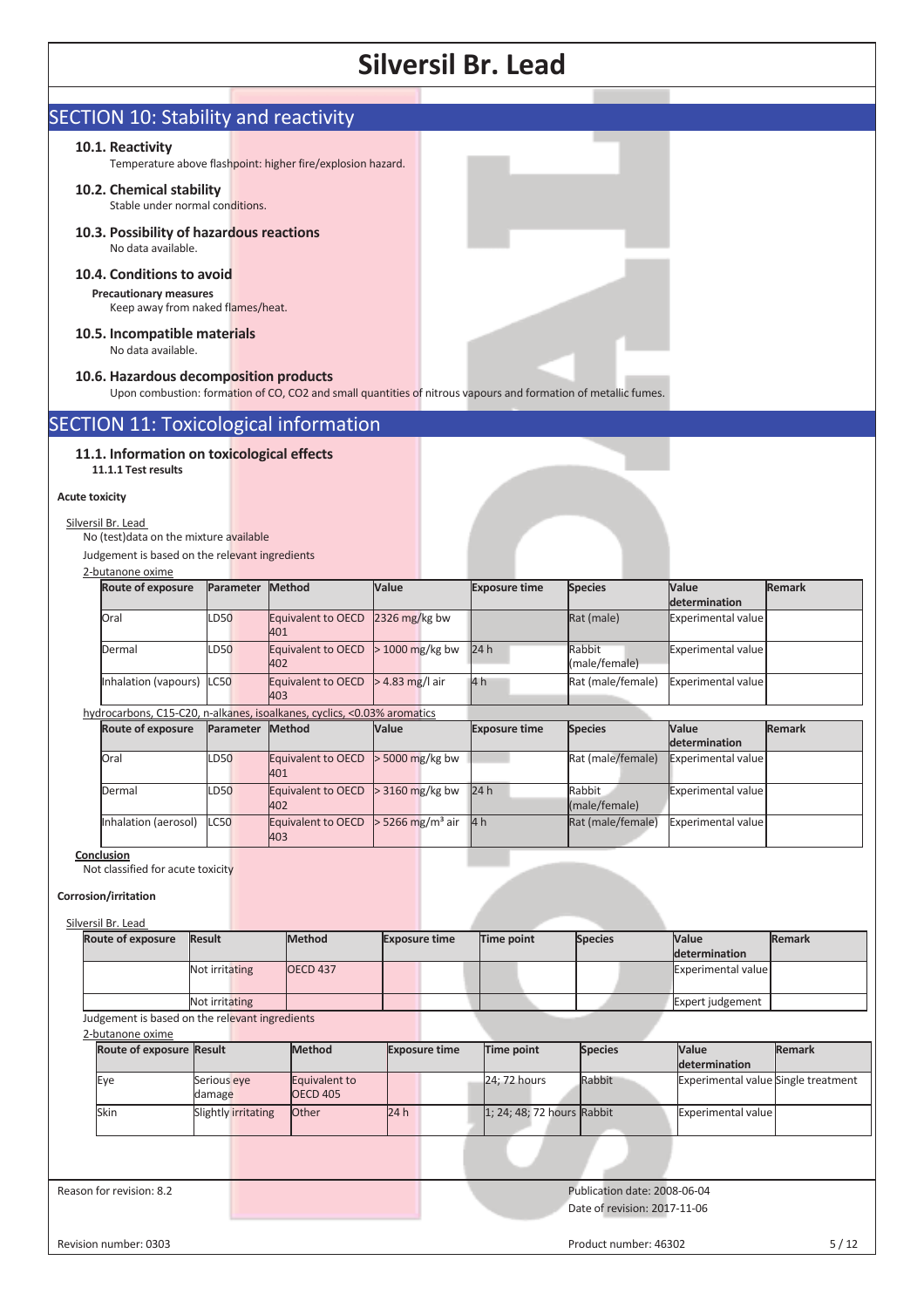|                                                                                                 | <b>Silversil Br. Lead</b> |                     |                                                                                                                |                                |      |                            |                         |                                     |                                     |  |  |  |
|-------------------------------------------------------------------------------------------------|---------------------------|---------------------|----------------------------------------------------------------------------------------------------------------|--------------------------------|------|----------------------------|-------------------------|-------------------------------------|-------------------------------------|--|--|--|
|                                                                                                 |                           |                     |                                                                                                                |                                |      |                            |                         |                                     |                                     |  |  |  |
| <b>SECTION 10: Stability and reactivity</b><br>10.1. Reactivity                                 |                           |                     |                                                                                                                |                                |      |                            |                         |                                     |                                     |  |  |  |
|                                                                                                 |                           |                     | Temperature above flashpoint: higher fire/explosion hazard.                                                    |                                |      |                            |                         |                                     |                                     |  |  |  |
| 10.2. Chemical stability<br>Stable under normal conditions.                                     |                           |                     |                                                                                                                |                                |      |                            |                         |                                     |                                     |  |  |  |
| 10.3. Possibility of hazardous reactions<br>No data available.                                  |                           |                     |                                                                                                                |                                |      |                            |                         |                                     |                                     |  |  |  |
| 10.4. Conditions to avoid<br><b>Precautionary measures</b><br>Keep away from naked flames/heat. |                           |                     |                                                                                                                |                                |      |                            |                         |                                     |                                     |  |  |  |
| 10.5. Incompatible materials<br>No data available.                                              |                           |                     |                                                                                                                |                                |      |                            |                         |                                     |                                     |  |  |  |
| 10.6. Hazardous decomposition products                                                          |                           |                     | Upon combustion: formation of CO, CO2 and small quantities of nitrous vapours and formation of metallic fumes. |                                |      |                            |                         |                                     |                                     |  |  |  |
| <b>SECTION 11: Toxicological information</b>                                                    |                           |                     |                                                                                                                |                                |      |                            |                         |                                     |                                     |  |  |  |
| 11.1. Information on toxicological effects                                                      |                           |                     |                                                                                                                |                                |      |                            |                         |                                     |                                     |  |  |  |
| 11.1.1 Test results                                                                             |                           |                     |                                                                                                                |                                |      |                            |                         |                                     |                                     |  |  |  |
| <b>Acute toxicity</b>                                                                           |                           |                     |                                                                                                                |                                |      |                            |                         |                                     |                                     |  |  |  |
| Silversil Br. Lead<br>No (test) data on the mixture available                                   |                           |                     |                                                                                                                |                                |      |                            |                         |                                     |                                     |  |  |  |
| Judgement is based on the relevant ingredients                                                  |                           |                     |                                                                                                                |                                |      |                            |                         |                                     |                                     |  |  |  |
| 2-butanone oxime<br>Route of exposure                                                           |                           | Parameter           | <b>Method</b>                                                                                                  | Value                          |      | <b>Exposure time</b>       | <b>Species</b>          | <b>Value</b><br>determination       | <b>Remark</b>                       |  |  |  |
| Oral                                                                                            | LD50                      |                     | Equivalent to OECD<br>401                                                                                      | 2326 mg/kg bw                  |      |                            | Rat (male)              | <b>Experimental value</b>           |                                     |  |  |  |
| Dermal                                                                                          | LD50                      |                     | Equivalent to OECD<br>402                                                                                      | > 1000 mg/kg bw                | 24 h |                            | Rabbit<br>(male/female) | <b>Experimental value</b>           |                                     |  |  |  |
| Inhalation (vapours)                                                                            | <b>LC50</b>               |                     | Equivalent to OECD<br>403                                                                                      | > 4.83 mg/l air                |      | 4 h                        | Rat (male/female)       | <b>Experimental value</b>           |                                     |  |  |  |
| hydrocarbons, C15-C20, n-alkanes, isoalkanes, cyclics, <0.03% aromatics<br>Route of exposure    |                           | Parameter Method    |                                                                                                                | Value                          |      | <b>Exposure time</b>       | <b>Species</b>          | Value                               | <b>Remark</b>                       |  |  |  |
| Oral                                                                                            | LD50                      |                     | Equivalent to OECD                                                                                             | > 5000 mg/kg bw                |      |                            | Rat (male/female)       | determination<br>Experimental value |                                     |  |  |  |
|                                                                                                 |                           |                     | 401<br>Equivalent to OECD                                                                                      |                                |      | 24h                        | Rabbit                  |                                     |                                     |  |  |  |
| Dermal                                                                                          | LD50                      |                     | 402                                                                                                            | $>$ 3160 mg/kg bw              |      |                            | (male/female)           | Experimental value                  |                                     |  |  |  |
| Inhalation (aerosol)                                                                            | <b>LC50</b>               |                     | Equivalent to OECD<br>403                                                                                      | $>$ 5266 mg/m <sup>3</sup> air |      | 4 <sub>h</sub>             | Rat (male/female)       | <b>Experimental value</b>           |                                     |  |  |  |
| Conclusion<br>Not classified for acute toxicity                                                 |                           |                     |                                                                                                                |                                |      |                            |                         |                                     |                                     |  |  |  |
| Corrosion/irritation                                                                            |                           |                     |                                                                                                                |                                |      |                            |                         |                                     |                                     |  |  |  |
| Silversil Br. Lead                                                                              |                           |                     |                                                                                                                |                                |      |                            |                         |                                     |                                     |  |  |  |
| Route of exposure                                                                               | <b>Result</b>             |                     | <b>Method</b>                                                                                                  | <b>Exposure time</b>           |      | Time point                 | <b>Species</b>          | Value<br>determination              | <b>Remark</b>                       |  |  |  |
|                                                                                                 | Not irritating            |                     | <b>OECD 437</b>                                                                                                |                                |      |                            |                         | <b>Experimental value</b>           |                                     |  |  |  |
|                                                                                                 | Not irritating            |                     |                                                                                                                |                                |      |                            |                         | Expert judgement                    |                                     |  |  |  |
| Judgement is based on the relevant ingredients<br>2-butanone oxime                              |                           |                     |                                                                                                                |                                |      |                            |                         |                                     |                                     |  |  |  |
| Route of exposure Result                                                                        |                           |                     | <b>Method</b>                                                                                                  | <b>Exposure time</b>           |      | <b>Time point</b>          | <b>Species</b>          | Value<br>determination              | <b>Remark</b>                       |  |  |  |
| Eye                                                                                             | Serious eye<br>damage     |                     | Equivalent to<br><b>OECD 405</b>                                                                               |                                |      | 24; 72 hours               | Rabbit                  |                                     | Experimental value Single treatment |  |  |  |
| Skin                                                                                            |                           | Slightly irritating | Other                                                                                                          | 24h                            |      | 1; 24; 48; 72 hours Rabbit |                         | <b>Experimental value</b>           |                                     |  |  |  |
|                                                                                                 |                           |                     |                                                                                                                |                                |      |                            |                         |                                     |                                     |  |  |  |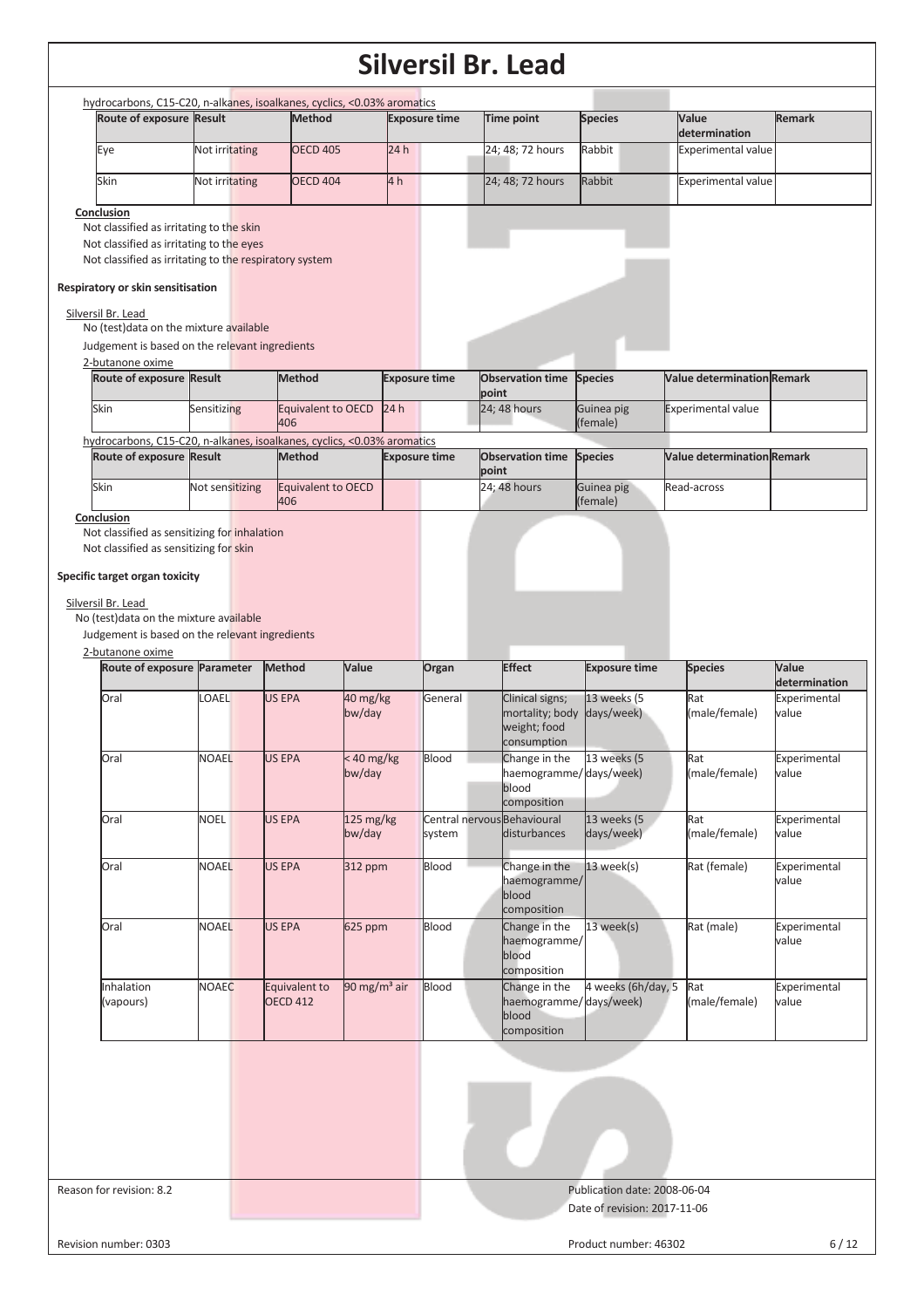| Route of exposure Result                                                                            |                 | <b>Method</b>             |                          | <b>Exposure time</b> | Time point                       | <b>Species</b>         | Value                             | <b>Remark</b>                                                          |
|-----------------------------------------------------------------------------------------------------|-----------------|---------------------------|--------------------------|----------------------|----------------------------------|------------------------|-----------------------------------|------------------------------------------------------------------------|
|                                                                                                     |                 | <b>OECD 405</b>           |                          | 24h                  |                                  | Rabbit                 | determination                     |                                                                        |
| Eye                                                                                                 | Not irritating  |                           |                          |                      | 24; 48; 72 hours                 |                        | <b>Experimental value</b>         |                                                                        |
| Skin                                                                                                | Not irritating  | <b>OECD 404</b>           |                          | 4 <sub>h</sub>       | 24; 48; 72 hours                 | Rabbit                 | <b>Experimental value</b>         |                                                                        |
| Conclusion                                                                                          |                 |                           |                          |                      |                                  |                        |                                   |                                                                        |
| Not classified as irritating to the skin                                                            |                 |                           |                          |                      |                                  |                        |                                   |                                                                        |
| Not classified as irritating to the eyes<br>Not classified as irritating to the respiratory system  |                 |                           |                          |                      |                                  |                        |                                   |                                                                        |
|                                                                                                     |                 |                           |                          |                      |                                  |                        |                                   |                                                                        |
| Respiratory or skin sensitisation                                                                   |                 |                           |                          |                      |                                  |                        |                                   |                                                                        |
| Silversil Br. Lead<br>No (test) data on the mixture available                                       |                 |                           |                          |                      |                                  |                        |                                   |                                                                        |
| Judgement is based on the relevant ingredients                                                      |                 |                           |                          |                      |                                  |                        |                                   |                                                                        |
| 2-butanone oxime                                                                                    |                 |                           |                          |                      |                                  |                        |                                   |                                                                        |
| Route of exposure Result                                                                            |                 | Method                    |                          | <b>Exposure time</b> | <b>Observation time</b><br>point | <b>Species</b>         | <b>Value determination Remark</b> |                                                                        |
| Skin                                                                                                | Sensitizing     | Equivalent to OECD 24 h   |                          |                      | 24; 48 hours                     | Guinea pig             | <b>Experimental value</b>         |                                                                        |
|                                                                                                     |                 | 406                       |                          |                      |                                  | (female)               |                                   |                                                                        |
| hydrocarbons, C15-C20, n-alkanes, isoalkanes, cyclics, <0.03% aromatics<br>Route of exposure Result |                 | <b>Method</b>             |                          | <b>Exposure time</b> | <b>Observation time</b>          | <b>Species</b>         | <b>Value determination Remark</b> |                                                                        |
|                                                                                                     |                 |                           |                          |                      | point                            |                        |                                   |                                                                        |
| Skin                                                                                                | Not sensitizing | Equivalent to OECD<br>406 |                          |                      | 24; 48 hours                     | Guinea pig<br>(female) | Read-across                       |                                                                        |
| Conclusion                                                                                          |                 |                           |                          |                      |                                  |                        |                                   |                                                                        |
| Not classified as sensitizing for inhalation                                                        |                 |                           |                          |                      |                                  |                        |                                   |                                                                        |
| Not classified as sensitizing for skin                                                              |                 |                           |                          |                      |                                  |                        |                                   |                                                                        |
| Specific target organ toxicity                                                                      |                 |                           |                          |                      |                                  |                        |                                   |                                                                        |
|                                                                                                     |                 |                           |                          |                      |                                  |                        |                                   |                                                                        |
|                                                                                                     |                 |                           |                          |                      |                                  |                        |                                   |                                                                        |
| Silversil Br. Lead                                                                                  |                 |                           |                          |                      |                                  |                        |                                   |                                                                        |
| No (test) data on the mixture available<br>Judgement is based on the relevant ingredients           |                 |                           |                          |                      |                                  |                        |                                   |                                                                        |
| 2-butanone oxime                                                                                    |                 |                           |                          |                      |                                  |                        |                                   |                                                                        |
| Route of exposure Parameter                                                                         |                 | <b>Method</b>             | Value                    | Organ                | <b>Effect</b>                    | <b>Exposure time</b>   | <b>Species</b>                    | Value                                                                  |
| Oral                                                                                                | <b>OAEL</b>     | <b>US EPA</b>             | 40 mg/kg                 | General              | Clinical signs;                  | 13 weeks (5            | Rat                               |                                                                        |
|                                                                                                     |                 |                           | bw/day                   |                      | mortality; body                  | days/week)             | (male/female)                     | value                                                                  |
|                                                                                                     |                 |                           |                          |                      | weight; food<br>consumption      |                        |                                   |                                                                        |
| Oral                                                                                                | <b>NOAEL</b>    | <b>US EPA</b>             | <40 mg/kg                | Blood                | Change in the                    | 13 weeks (5            | Rat                               |                                                                        |
|                                                                                                     |                 |                           | bw/day                   |                      |                                  | haemogramme/days/week) | (male/female)                     | value                                                                  |
|                                                                                                     |                 |                           |                          |                      | blood<br>composition             |                        |                                   |                                                                        |
| Oral                                                                                                | <b>NOEL</b>     | <b>US EPA</b>             | 125 mg/kg                |                      | Central nervous Behavioural      | 13 weeks (5            | Rat                               |                                                                        |
|                                                                                                     |                 |                           | bw/day                   | system               | disturbances                     | days/week)             | (male/female)                     | determination<br>Experimental<br>Experimental<br>Experimental<br>value |
| Oral                                                                                                | <b>NOAEL</b>    | <b>US EPA</b>             | 312 ppm                  | Blood                | Change in the                    | 13 week(s)             | Rat (female)                      |                                                                        |
|                                                                                                     |                 |                           |                          |                      | haemogramme/                     |                        |                                   | value                                                                  |
|                                                                                                     |                 |                           |                          |                      | blood<br>composition             |                        |                                   |                                                                        |
| Oral                                                                                                | <b>NOAEL</b>    | <b>US EPA</b>             | 625 ppm                  | Blood                | Change in the                    | 13 week(s)             | Rat (male)                        | Experimental<br>Experimental                                           |
|                                                                                                     |                 |                           |                          |                      | haemogramme/                     |                        |                                   | value                                                                  |
|                                                                                                     |                 |                           |                          |                      | blood<br>composition             |                        |                                   |                                                                        |
| Inhalation                                                                                          | <b>NOAEC</b>    | Equivalent to             | 90 mg/m <sup>3</sup> air | Blood                | Change in the                    | 4 weeks (6h/day, 5     | Rat                               | Experimental                                                           |
| (vapours)                                                                                           |                 | <b>OECD 412</b>           |                          |                      |                                  | haemogramme/days/week) | (male/female)                     | value                                                                  |
|                                                                                                     |                 |                           |                          |                      | blood<br>composition             |                        |                                   |                                                                        |
|                                                                                                     |                 |                           |                          |                      |                                  |                        |                                   |                                                                        |
|                                                                                                     |                 |                           |                          |                      |                                  |                        |                                   |                                                                        |
|                                                                                                     |                 |                           |                          |                      |                                  |                        |                                   |                                                                        |
|                                                                                                     |                 |                           |                          |                      |                                  |                        |                                   |                                                                        |
|                                                                                                     |                 |                           |                          |                      |                                  |                        |                                   |                                                                        |
|                                                                                                     |                 |                           |                          |                      |                                  |                        |                                   |                                                                        |
|                                                                                                     |                 |                           |                          |                      |                                  |                        |                                   |                                                                        |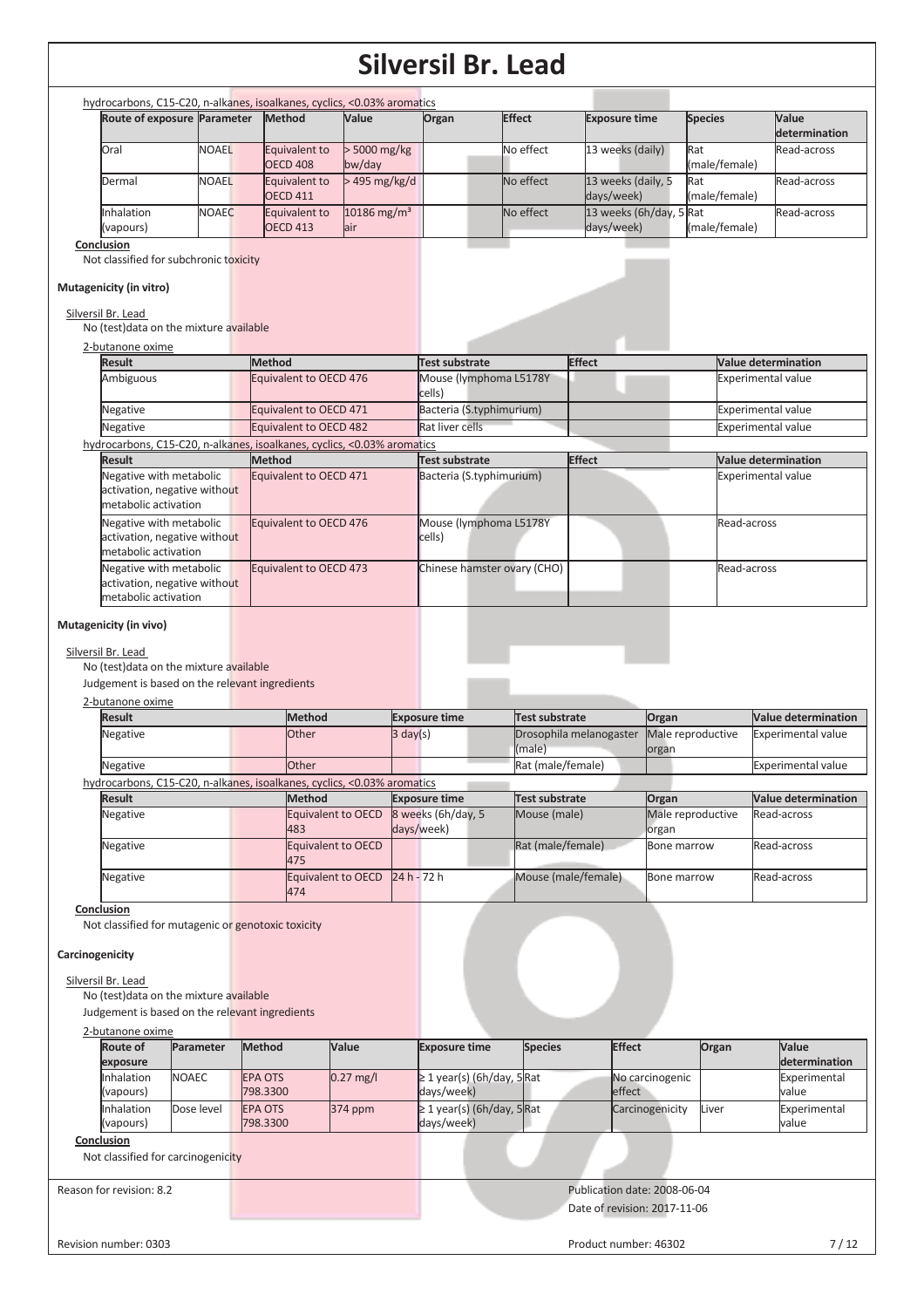| Oral<br>Dermal<br>Inhalation                                                                                                                                                                                                                                                                               | Route of exposure Parameter | <b>Method</b>                           |                           | Value                            | Organ                 | <b>Effect</b>                   |                       | <b>Exposure time</b>                                         |                             | <b>Species</b>       | Value<br>determination                                  |  |
|------------------------------------------------------------------------------------------------------------------------------------------------------------------------------------------------------------------------------------------------------------------------------------------------------------|-----------------------------|-----------------------------------------|---------------------------|----------------------------------|-----------------------|---------------------------------|-----------------------|--------------------------------------------------------------|-----------------------------|----------------------|---------------------------------------------------------|--|
|                                                                                                                                                                                                                                                                                                            | <b>NOAEL</b>                | <b>OECD 408</b>                         | Equivalent to             | > 5000 mg/kg<br>bw/day           |                       |                                 | No effect             | 13 weeks (daily)                                             |                             | Rat<br>(male/female) | Read-across                                             |  |
|                                                                                                                                                                                                                                                                                                            | <b>NOAEL</b>                | <b>OECD 411</b>                         | Equivalent to             | $>495$ mg/kg/d                   |                       |                                 | No effect             | 13 weeks (daily, 5<br>days/week)                             |                             | Rat<br>(male/female) | Read-across                                             |  |
| (vapours)                                                                                                                                                                                                                                                                                                  | <b>NOAEC</b>                | <b>OECD 413</b>                         | Equivalent to             | $10186$ mg/m <sup>3</sup><br>air |                       |                                 | No effect             | 13 weeks (6h/day, 5 Rat<br>days/week)                        |                             | (male/female)        | Read-across                                             |  |
| Conclusion<br>Not classified for subchronic toxicity                                                                                                                                                                                                                                                       |                             |                                         |                           |                                  |                       |                                 |                       |                                                              |                             |                      |                                                         |  |
| Mutagenicity (in vitro)<br>Silversil Br. Lead                                                                                                                                                                                                                                                              |                             |                                         |                           |                                  |                       |                                 |                       |                                                              |                             |                      |                                                         |  |
| No (test) data on the mixture available                                                                                                                                                                                                                                                                    |                             |                                         |                           |                                  |                       |                                 |                       |                                                              |                             |                      |                                                         |  |
| 2-butanone oxime<br><b>Result</b>                                                                                                                                                                                                                                                                          |                             | <b>Method</b>                           |                           |                                  | Test substrate        |                                 |                       | <b>Effect</b>                                                |                             |                      | <b>Value determination</b>                              |  |
| Ambiguous                                                                                                                                                                                                                                                                                                  |                             | Equivalent to OECD 476                  |                           |                                  | cells)                | Mouse (lymphoma L5178Y          |                       |                                                              |                             |                      | <b>Experimental value</b>                               |  |
| Negative                                                                                                                                                                                                                                                                                                   |                             | Equivalent to OECD 471                  |                           |                                  |                       | Bacteria (S.typhimurium)        |                       |                                                              |                             |                      | <b>Experimental value</b>                               |  |
| Negative                                                                                                                                                                                                                                                                                                   |                             | Equivalent to OECD 482                  |                           |                                  | Rat liver cells       |                                 |                       |                                                              |                             |                      | Experimental value                                      |  |
| hydrocarbons, C15-C20, n-alkanes, isoalkanes, cyclics, <0.03% aromatics                                                                                                                                                                                                                                    |                             |                                         |                           |                                  |                       |                                 |                       |                                                              |                             |                      |                                                         |  |
| <b>Result</b><br>Negative with metabolic<br>activation, negative without<br>metabolic activation                                                                                                                                                                                                           |                             | <b>Method</b><br>Equivalent to OECD 471 |                           |                                  | <b>Test substrate</b> | Bacteria (S.typhimurium)        |                       | <b>Effect</b>                                                |                             |                      | <b>Value determination</b><br><b>Experimental value</b> |  |
| Negative with metabolic<br>activation, negative without<br>metabolic activation                                                                                                                                                                                                                            |                             | Equivalent to OECD 476                  |                           |                                  | cells)                | Mouse (lymphoma L5178Y          |                       |                                                              |                             |                      | Read-across                                             |  |
| Negative with metabolic<br>activation, negative without<br>metabolic activation                                                                                                                                                                                                                            |                             | Equivalent to OECD 473                  |                           |                                  |                       | Chinese hamster ovary (CHO)     |                       |                                                              |                             | Read-across          |                                                         |  |
| Mutagenicity (in vivo)                                                                                                                                                                                                                                                                                     |                             |                                         |                           |                                  |                       |                                 |                       |                                                              |                             |                      |                                                         |  |
| Silversil Br. Lead<br>No (test) data on the mixture available                                                                                                                                                                                                                                              |                             |                                         |                           |                                  |                       |                                 |                       |                                                              |                             |                      |                                                         |  |
| Judgement is based on the relevant ingredients<br>2-butanone oxime                                                                                                                                                                                                                                         |                             |                                         |                           |                                  |                       |                                 |                       |                                                              |                             |                      |                                                         |  |
| <b>Result</b>                                                                                                                                                                                                                                                                                              |                             |                                         | <b>Method</b>             |                                  | <b>Exposure time</b>  |                                 | <b>Test substrate</b> |                                                              | Organ                       |                      | <b>Value determination</b>                              |  |
| Negative                                                                                                                                                                                                                                                                                                   |                             |                                         | Other                     |                                  | $3 \text{ day}(s)$    |                                 | (male)                | Drosophila melanogaster                                      | organ                       | Male reproductive    | <b>Experimental value</b>                               |  |
| Negative                                                                                                                                                                                                                                                                                                   |                             |                                         | Other                     |                                  |                       |                                 | Rat (male/female)     |                                                              |                             |                      | Experimental value                                      |  |
| hydrocarbons, C15-C20, n-alkanes, isoalkanes, cyclics, <0.03% aromatics<br><b>Result</b>                                                                                                                                                                                                                   |                             |                                         | Method                    |                                  | <b>Exposure time</b>  |                                 | <b>Test substrate</b> |                                                              |                             |                      | <b>Value determination</b>                              |  |
| Negative                                                                                                                                                                                                                                                                                                   |                             |                                         | Equivalent to OECD        |                                  | 8 weeks (6h/day, 5    |                                 | Mouse (male)          |                                                              | Organ                       | Male reproductive    | Read-across                                             |  |
| Negative                                                                                                                                                                                                                                                                                                   |                             |                                         | 483<br>Equivalent to OECD |                                  | days/week)            |                                 | Rat (male/female)     |                                                              | organ<br><b>Bone marrow</b> |                      | Read-across                                             |  |
|                                                                                                                                                                                                                                                                                                            |                             | 475                                     |                           |                                  |                       |                                 | Mouse (male/female)   |                                                              |                             |                      |                                                         |  |
| Negative                                                                                                                                                                                                                                                                                                   |                             | 474                                     | Equivalent to OECD        |                                  | 24 h - 72 h           |                                 |                       |                                                              | Bone marrow                 |                      | Read-across                                             |  |
|                                                                                                                                                                                                                                                                                                            |                             |                                         |                           |                                  |                       |                                 |                       |                                                              |                             |                      |                                                         |  |
|                                                                                                                                                                                                                                                                                                            |                             |                                         |                           |                                  |                       |                                 |                       |                                                              |                             |                      |                                                         |  |
|                                                                                                                                                                                                                                                                                                            |                             |                                         |                           |                                  |                       |                                 |                       |                                                              |                             |                      |                                                         |  |
|                                                                                                                                                                                                                                                                                                            |                             |                                         |                           |                                  |                       |                                 |                       |                                                              |                             |                      |                                                         |  |
|                                                                                                                                                                                                                                                                                                            |                             |                                         |                           |                                  |                       |                                 |                       |                                                              |                             |                      |                                                         |  |
| <b>Route of</b>                                                                                                                                                                                                                                                                                            | Parameter                   | <b>Method</b>                           |                           | Value                            | <b>Exposure time</b>  |                                 | <b>Species</b>        | <b>Effect</b>                                                |                             | Organ                | Value<br>determination                                  |  |
| exposure<br>Inhalation<br>(vapours)                                                                                                                                                                                                                                                                        | <b>NOAEC</b>                | <b>EPA OTS</b><br>798.3300              |                           | $0.27$ mg/l                      | days/week)            | ≥ 1 year(s) (6h/day, 5Rat       |                       | effect                                                       | No carcinogenic             |                      | Experimental<br>value                                   |  |
| Inhalation<br>(vapours)                                                                                                                                                                                                                                                                                    | Dose level                  | <b>EPA OTS</b><br>798.3300              |                           | 374 ppm                          | days/week)            | $\geq$ 1 year(s) (6h/day, 5 Rat |                       |                                                              | Carcinogenicity             | Liver                | Experimental<br>value                                   |  |
|                                                                                                                                                                                                                                                                                                            |                             |                                         |                           |                                  |                       |                                 |                       |                                                              |                             |                      |                                                         |  |
|                                                                                                                                                                                                                                                                                                            |                             |                                         |                           |                                  |                       |                                 |                       |                                                              |                             |                      |                                                         |  |
| Conclusion<br>Not classified for mutagenic or genotoxic toxicity<br>Carcinogenicity<br>Silversil Br. Lead<br>No (test) data on the mixture available<br>Judgement is based on the relevant ingredients<br>2-butanone oxime<br>Conclusion<br>Not classified for carcinogenicity<br>Reason for revision: 8.2 |                             |                                         |                           |                                  |                       |                                 |                       | Publication date: 2008-06-04<br>Date of revision: 2017-11-06 |                             |                      |                                                         |  |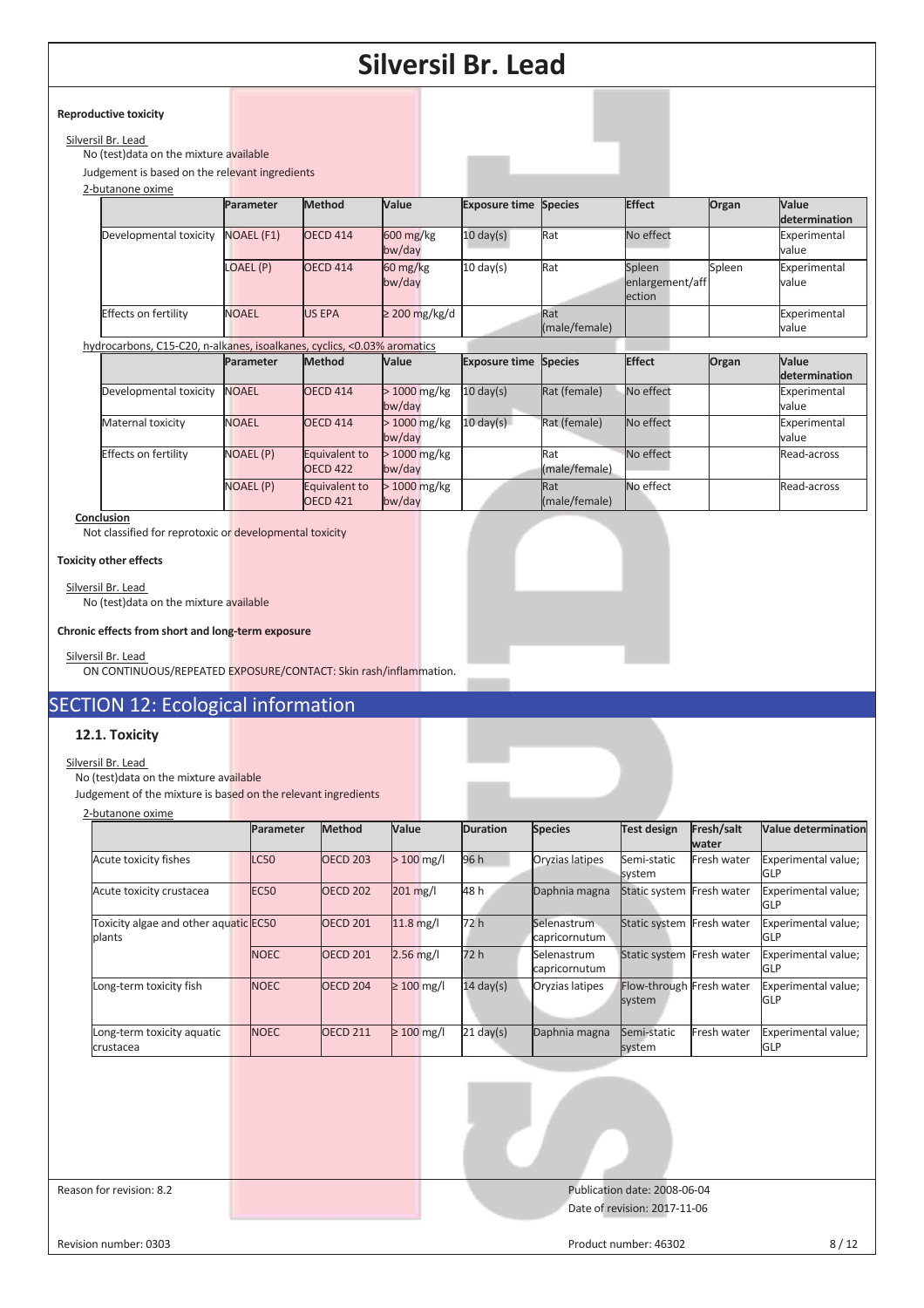### **Reproductive toxicity**

## Silversil Br. Lead

No (test)data on the mixture available

Judgement is based on the relevant ingredients

| 2-butanone oxime |  |
|------------------|--|
|                  |  |

| 2-butanone oxime            |                   |                 |                                             |                              |                      |                                             |        |                        |
|-----------------------------|-------------------|-----------------|---------------------------------------------|------------------------------|----------------------|---------------------------------------------|--------|------------------------|
|                             | Parameter         | <b>Method</b>   | <b>Value</b>                                | <b>Exposure time Species</b> |                      | Effect                                      | Organ  | Value<br>determination |
| Developmental toxicity      | <b>NOAEL (F1)</b> | <b>OECD 414</b> | $600 \frac{\text{mg}}{\text{kg}}$<br>bw/day | $10 \text{ day(s)}$          | Rat                  | No effect                                   |        | Experimental<br>value  |
|                             | LOAEL (P)         | <b>OECD 414</b> | $60 \frac{\text{mg}}{\text{kg}}$<br>bw/day  | $10 \text{ day(s)}$          | Rat                  | Spleen<br>enlargement/aff<br><b>lection</b> | Spleen | Experimental<br>value  |
| <b>Effects on fertility</b> | <b>NOAEL</b>      | <b>US EPA</b>   | $\geq$ 200 mg/kg/d                          |                              | Rat<br>(male/female) |                                             |        | Experimental<br>value  |

### hydrocarbons, C15-C20, n-alkanes, isoalkanes, cyclics, <0.03% aromatics

|                        | <b>Parameter</b> | <b>Method</b>   | <b>Value</b>  | <b>Exposure time Species</b> |               | <b>Effect</b> | Organ | <b>Value</b>  |
|------------------------|------------------|-----------------|---------------|------------------------------|---------------|---------------|-------|---------------|
|                        |                  |                 |               |                              |               |               |       | determination |
| Developmental toxicity | <b>NOAEL</b>     | <b>OECD 414</b> | $>1000$ mg/kg | $10 \text{ day(s)}$          | Rat (female)  | No effect     |       | Experimental  |
|                        |                  |                 | bw/day        |                              |               |               |       | value         |
| Maternal toxicity      | <b>NOAEL</b>     | <b>OECD 414</b> | $>1000$ mg/kg | $10 \text{ day(s)}$          | Rat (female)  | No effect     |       | Experimental  |
|                        |                  |                 | bw/day        |                              |               |               |       | value         |
| Effects on fertility   | <b>NOAEL (P)</b> | Equivalent to   | $>1000$ mg/kg |                              | Rat           | No effect     |       | Read-across   |
|                        |                  | <b>OECD 422</b> | bw/day        |                              | (male/female) |               |       |               |
|                        | <b>NOAEL (P)</b> | Equivalent to   | $>1000$ mg/kg |                              | Rat           | No effect     |       | Read-across   |
|                        |                  | <b>OECD 421</b> | bw/day        |                              | (male/female) |               |       |               |

### **Conclusion**

Not classified for reprotoxic or developmental toxicity

#### **Toxicity other effects**

Silversil Br. Lead No (test)data on the mixture available

#### **Chronic effects from short and long-term exposure**

Silversil Br. Lead

ON CONTINUOUS/REPEATED EXPOSURE/CONTACT: Skin rash/inflammation.

# SECTION 12: Ecological information

### **12.1. Toxicity**

### Silversil Br. Lead

No (test)data on the mixture available

Judgement of the mixture is based on the relevant ingredients

| 2-butanone oxime                                |                  |                     |                 |                     |                              |                                    |                     |                                   |
|-------------------------------------------------|------------------|---------------------|-----------------|---------------------|------------------------------|------------------------------------|---------------------|-----------------------------------|
|                                                 | Parameter        | <b>Method</b>       | Value           | <b>Duration</b>     | <b>Species</b>               | Test design                        | Fresh/salt<br>water | Value determination               |
| Acute toxicity fishes                           | <b>LC50</b>      | <b>OECD 203</b>     | $>100$ mg/l     | 96 h                | Oryzias latipes              | Semi-static<br>system              | Fresh water         | Experimental value;<br><b>GLP</b> |
| Acute toxicity crustacea                        | EC <sub>50</sub> | <b>OECD 202</b>     | 201 mg/l        | 48 h                | Daphnia magna                | Static system                      | Fresh water         | Experimental value;<br><b>GLP</b> |
| Toxicity algae and other aquatic EC50<br>plants |                  | <b>OECD 201</b>     | $11.8$ mg/l     | 72 h                | Selenastrum<br>capricornutum | <b>Static system</b>               | Fresh water         | Experimental value;<br><b>GLP</b> |
|                                                 | <b>NOEC</b>      | <b>OECD 201</b>     | $2.56$ mg/l     | 72 h                | Selenastrum<br>capricornutum | <b>Static system</b>               | Fresh water         | Experimental value;<br><b>GLP</b> |
| Long-term toxicity fish                         | <b>NOEC</b>      | OECD <sub>204</sub> | $\geq 100$ mg/l | $14 \text{ day(s)}$ | Oryzias latipes              | Flow-through Fresh water<br>system |                     | Experimental value;<br><b>GLP</b> |
| Long-term toxicity aquatic<br>crustacea         | <b>NOEC</b>      | <b>OECD 211</b>     | $\geq 100$ mg/l | $21 \text{ day(s)}$ | Daphnia magna                | Semi-static<br>system              | Fresh water         | Experimental value;<br><b>GLP</b> |
|                                                 |                  |                     |                 |                     |                              |                                    |                     |                                   |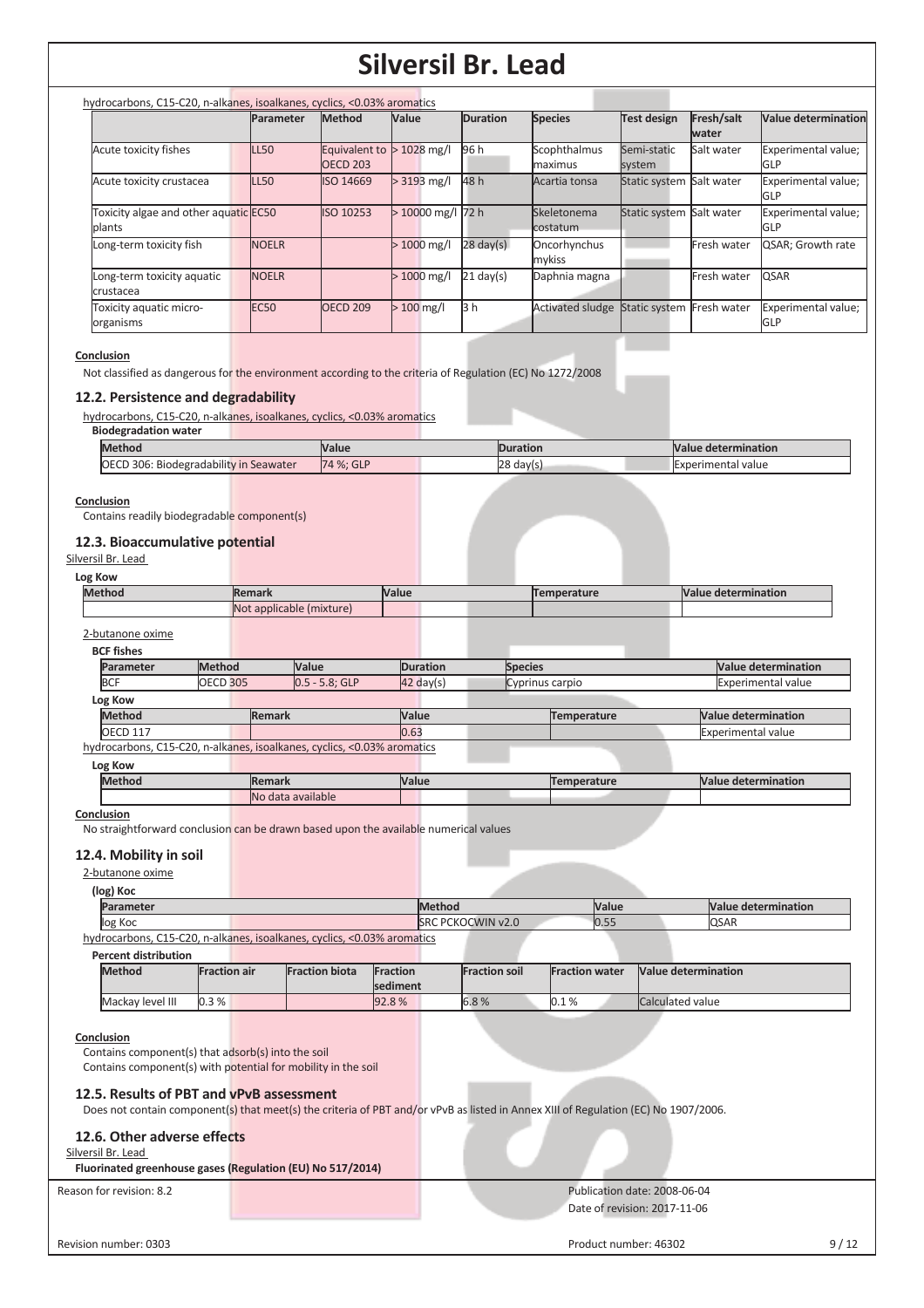| hydrocarbons, C15-C20, n-alkanes, isoalkanes, cyclics, <0.03% aromatics |                  |                                  |                    |                     |                                |                          |                     |                                   |
|-------------------------------------------------------------------------|------------------|----------------------------------|--------------------|---------------------|--------------------------------|--------------------------|---------------------|-----------------------------------|
|                                                                         | <b>Parameter</b> | <b>Method</b>                    | <b>Value</b>       | <b>Duration</b>     | <b>Species</b>                 | <b>Test design</b>       | Fresh/salt<br>water | <b>Value determination</b>        |
| Acute toxicity fishes                                                   | <b>LL50</b>      | Equivalent to<br><b>OECD 203</b> | 1028 mg/l          | 96 h                | Scophthalmus<br>maximus        | Semi-static<br>system    | Salt water          | Experimental value;<br><b>GLP</b> |
| Acute toxicity crustacea                                                | <b>LL50</b>      | ISO 14669                        | $> 3193$ mg/l      | 48 h                | Acartia tonsa                  | Static system Salt water |                     | Experimental value;<br><b>GLP</b> |
| Toxicity algae and other aquatic EC50<br>plants                         |                  | ISO 10253                        | $>10000$ mg/l 72 h |                     | Skeletonema<br><b>costatum</b> | Static system Salt water |                     | Experimental value;<br><b>GLP</b> |
| Long-term toxicity fish                                                 | <b>NOELR</b>     |                                  | $>1000$ mg/l       | $28 \text{ day}(s)$ | Oncorhynchus<br>mykiss         |                          | Fresh water         | QSAR; Growth rate                 |
| Long-term toxicity aquatic<br>crustacea                                 | <b>NOELR</b>     |                                  | $>1000$ mg/l       | $21 \text{ day(s)}$ | Daphnia magna                  |                          | Fresh water         | <b>QSAR</b>                       |
| Toxicity aquatic micro-<br>organisms                                    | EC <sub>50</sub> | <b>OECD 209</b>                  | $>100$ mg/l        | 3h                  | <b>Activated sludge</b>        | Static system            | Fresh water         | Experimental value;<br><b>GLP</b> |

#### **Conclusion**

Not classified as dangerous for the environment according to the criteria of Regulation (EC) No 1272/2008

### **12.2. Persistence and degradability**

hydrocarbons, C15-C20, n-alkanes, isoalkanes, cyclics, <0.03% aromatics

**Biodegradation water** 

| <b>Method</b>                                          | <b>Value</b> | <b>Duration</b> | Nalue determination       |
|--------------------------------------------------------|--------------|-----------------|---------------------------|
| : Biodegradability in Seawater<br><b>OECD 306: Bio</b> | 74 %: GLP    | 28<br>day(s)    | <b>Experimental value</b> |
|                                                        |              |                 |                           |

### **Conclusion**

Contains readily biodegradable component(s)

### **12.3. Bioaccumulative potential**

Silversil Br. Lead

| Log | . Kow |  |
|-----|-------|--|
|     |       |  |

| <b>Method</b> |                   |                 | <b>Remark</b> |                                                                         | <b>Value</b> |                     |                | Temperature        | <b>Value determination</b> |
|---------------|-------------------|-----------------|---------------|-------------------------------------------------------------------------|--------------|---------------------|----------------|--------------------|----------------------------|
|               |                   |                 |               | Not applicable (mixture)                                                |              |                     |                |                    |                            |
|               | 2-butanone oxime  |                 |               |                                                                         |              |                     |                |                    |                            |
|               | <b>BCF</b> fishes |                 |               |                                                                         |              |                     |                |                    |                            |
|               | Parameter         | <b>Method</b>   |               | <b>Value</b>                                                            |              | <b>Duration</b>     | <b>Species</b> |                    | <b>Value determination</b> |
|               | <b>BCF</b>        | <b>OECD 305</b> |               | $0.5 - 5.8$ ; GLP                                                       |              | $42 \text{ day}(s)$ |                | Cyprinus carpio    | <b>Experimental value</b>  |
|               | Log Kow           |                 |               |                                                                         |              |                     |                |                    |                            |
|               | <b>Method</b>     |                 | <b>Remark</b> |                                                                         | Value        |                     |                | Temperature        | <b>Value determination</b> |
|               | <b>OECD 117</b>   |                 |               |                                                                         | 0.63         |                     |                |                    | <b>Experimental value</b>  |
|               |                   |                 |               | hydrocarbons, C15-C20, n-alkanes, isoalkanes, cyclics, <0.03% aromatics |              |                     |                |                    |                            |
|               | Log Kow           |                 |               |                                                                         |              |                     |                |                    |                            |
|               | <b>Method</b>     |                 | <b>Remark</b> |                                                                         | Value        |                     |                | <b>Temperature</b> | <b>Value determination</b> |
|               |                   |                 |               | No data available                                                       |              |                     |                |                    |                            |

**Conclusion** 

No straightforward conclusion can be drawn based upon the available numerical values

### **12.4. Mobility in soil**

2-butanone oxime **(log) Koc** 

| (log) roc |                                                                                                                                                    |                             |              |                            |  |
|-----------|----------------------------------------------------------------------------------------------------------------------------------------------------|-----------------------------|--------------|----------------------------|--|
| Parameter |                                                                                                                                                    | Method                      | <b>Value</b> | <b>Value determination</b> |  |
| log Koc   |                                                                                                                                                    | PCKOCWIN v2.0<br><b>SRC</b> | 0.55         | QSAR                       |  |
|           | $\sim$ 1. $\sim$ 1. $\sim$ 0.4 F $\sim$ 0.0 $\sim$ 11. $\sim$ $\sim$ $\sim$ 11. $\sim$ $\sim$ 1. $\sim$ 1. $\sim$ 0.000/ $\sim$ $\sim$ $\sim$ 1.1. |                             |              |                            |  |

hydrocarbons, C15-C20, n-alkanes, isoalkanes, cyclics, <0.03% aromatics

| <b>Percent distribution</b> |                     |                       |          |                      |                        |                     |
|-----------------------------|---------------------|-----------------------|----------|----------------------|------------------------|---------------------|
| <b>Method</b>               | <b>Fraction air</b> | <b>Fraction biota</b> | Fraction | <b>Fraction soil</b> | <b>IFraction water</b> | Value determination |
|                             |                     |                       | sediment |                      |                        |                     |
| Mackav level III            | 0.3%                |                       | 92.8%    | 6.8%                 | 0.1%                   | Calculated value    |

#### **Conclusion**

Contains component(s) that adsorb(s) into the soil Contains component(s) with potential for mobility in the soil

### **12.5. Results of PBT and vPvB assessment**

Does not contain component(s) that meet(s) the criteria of PBT and/or vPvB as listed in Annex XIII of Regulation (EC) No 1907/2006.

### **12.6. Other adverse effects**

Silversil Br. Lead

**Fluorinated greenhouse gases (Regulation (EU) No 517/2014)** 

### Reason for revision: 8.2 **Publication date: 2008-06-04** Publication date: 2008-06-04 Date of revision: 2017-11-06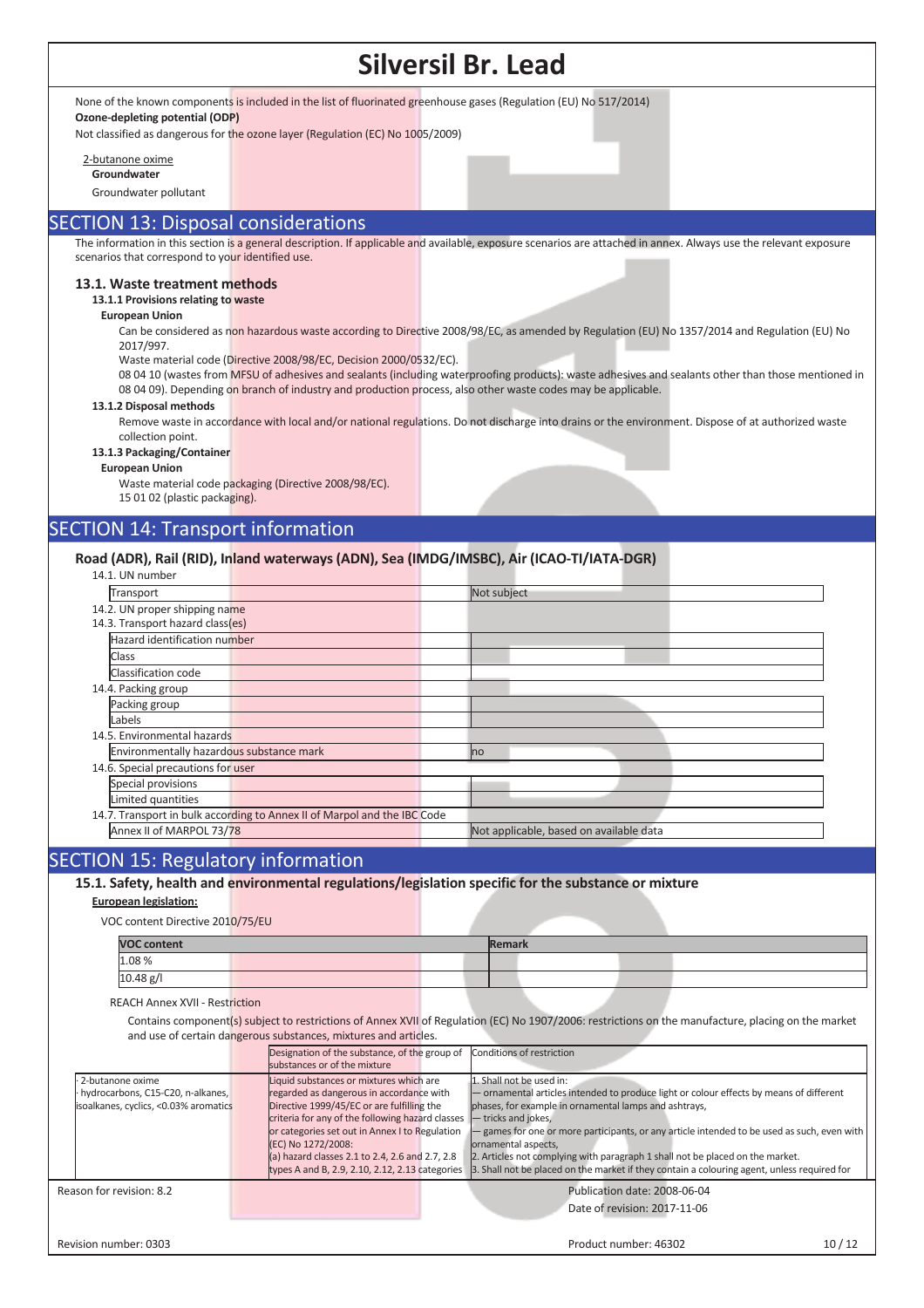None of the known components is included in the list of fluorinated greenhouse gases (Regulation (EU) No 517/2014)

**Ozone-depleting potential (ODP)** 

Not classified as dangerous for the ozone layer (Regulation (EC) No 1005/2009)

2-butanone oxime

**Groundwater** 

Groundwater pollutant

## SECTION 13: Disposal considerations

The information in this section i<mark>s a general description. If applicable an</mark>d available, exposure scenarios are attached in annex. Always use the relevant exposure scenarios that correspond to your identified use.

### **13.1. Waste treatment methods**

#### **13.1.1 Provisions relating to waste**

**European Union** 

Can be considered as non hazardous waste according to Directive 2008/98/EC, as amended by Regulation (EU) No 1357/2014 and Regulation (EU) No 2017/997.

Waste material code (Directive 2008/98/EC, Decision 2000/0532/EC).

08 04 10 (wastes from MFSU of adhesives and sealants (including waterproofing products): waste adhesives and sealants other than those mentioned in 08 04 09). Depending on branch of industry and production process, also other waste codes may be applicable.

### **13.1.2 Disposal methods**

Remove waste in accordance with local and/or national regulations. Do not discharge into drains or the environment. Dispose of at authorized waste collection point.

#### **13.1.3 Packaging/Container**

**European Union** 

Waste material code packaging (Directive 2008/98/EC).

15 01 02 (plastic packaging).

## SECTION 14: Transport information

### **Road (ADR), Rail (RID), Inland waterways (ADN), Sea (IMDG/IMSBC), Air (ICAO-TI/IATA-DGR)**

| 14.1. UN number                          |                                                                          |                                         |
|------------------------------------------|--------------------------------------------------------------------------|-----------------------------------------|
| Transport                                |                                                                          | Not subject                             |
| 14.2. UN proper shipping name            |                                                                          |                                         |
| 14.3. Transport hazard class(es)         |                                                                          |                                         |
| Hazard identification number             |                                                                          |                                         |
| Class                                    |                                                                          |                                         |
| Classification code                      |                                                                          |                                         |
| 14.4. Packing group                      |                                                                          |                                         |
| Packing group                            |                                                                          |                                         |
| Labels                                   |                                                                          |                                         |
| 14.5. Environmental hazards              |                                                                          |                                         |
| Environmentally hazardous substance mark |                                                                          | no                                      |
| 14.6. Special precautions for user       |                                                                          |                                         |
| Special provisions                       |                                                                          |                                         |
| Limited quantities                       |                                                                          |                                         |
|                                          | 14.7. Transport in bulk according to Annex II of Marpol and the IBC Code |                                         |
| Annex II of MARPOL 73/78                 |                                                                          | Not applicable, based on available data |

## SECTION 15: Regulatory information

**15.1. Safety, health and environmental regulations/legislation specific for the substance or mixture**

### **European legislation:**

VOC content Directive 2010/75/EU

| <b>VOC content</b> |  | Remark |  |  |
|--------------------|--|--------|--|--|
| 1.08%              |  |        |  |  |
| 10.48 g/l          |  |        |  |  |

### REACH Annex XVII - Restriction

 Contains component(s) subject to restrictions of Annex XVII of Regulation (EC) No 1907/2006: restrictions on the manufacture, placing on the market and use of certain dangerous substances, mixtures and articles.

|                                                                                                | Designation of the substance, of the group of<br>substances or of the mixture                                                                                                                                                                                                                                                                                       | Conditions of restriction                                                                                                                                                                                                                                                                                                                                                                                                                                                                                 |
|------------------------------------------------------------------------------------------------|---------------------------------------------------------------------------------------------------------------------------------------------------------------------------------------------------------------------------------------------------------------------------------------------------------------------------------------------------------------------|-----------------------------------------------------------------------------------------------------------------------------------------------------------------------------------------------------------------------------------------------------------------------------------------------------------------------------------------------------------------------------------------------------------------------------------------------------------------------------------------------------------|
| 2-butanone oxime<br>hydrocarbons, C15-C20, n-alkanes,<br>isoalkanes, cyclics, <0.03% aromatics | Liquid substances or mixtures which are<br>regarded as dangerous in accordance with<br>Directive 1999/45/EC or are fulfilling the<br>criteria for any of the following hazard classes<br>or categories set out in Annex I to Regulation<br>(EC) No 1272/2008:<br>(a) hazard classes 2.1 to 2.4, 2.6 and 2.7, 2.8<br>types A and B, 2.9, 2.10, 2.12, 2.13 categories | 1. Shall not be used in:<br>- ornamental articles intended to produce light or colour effects by means of different<br>phases, for example in ornamental lamps and ashtrays,<br>- tricks and jokes,<br>- games for one or more participants, or any article intended to be used as such, even with<br>ornamental aspects,<br>2. Articles not complying with paragraph 1 shall not be placed on the market.<br>3. Shall not be placed on the market if they contain a colouring agent, unless required for |
| Reason for revision: 8.2                                                                       |                                                                                                                                                                                                                                                                                                                                                                     | Publication date: 2008-06-04<br>Date of revision: 2017-11-06                                                                                                                                                                                                                                                                                                                                                                                                                                              |
| Revision number: 0303                                                                          |                                                                                                                                                                                                                                                                                                                                                                     | Product number: 46302<br>10/12                                                                                                                                                                                                                                                                                                                                                                                                                                                                            |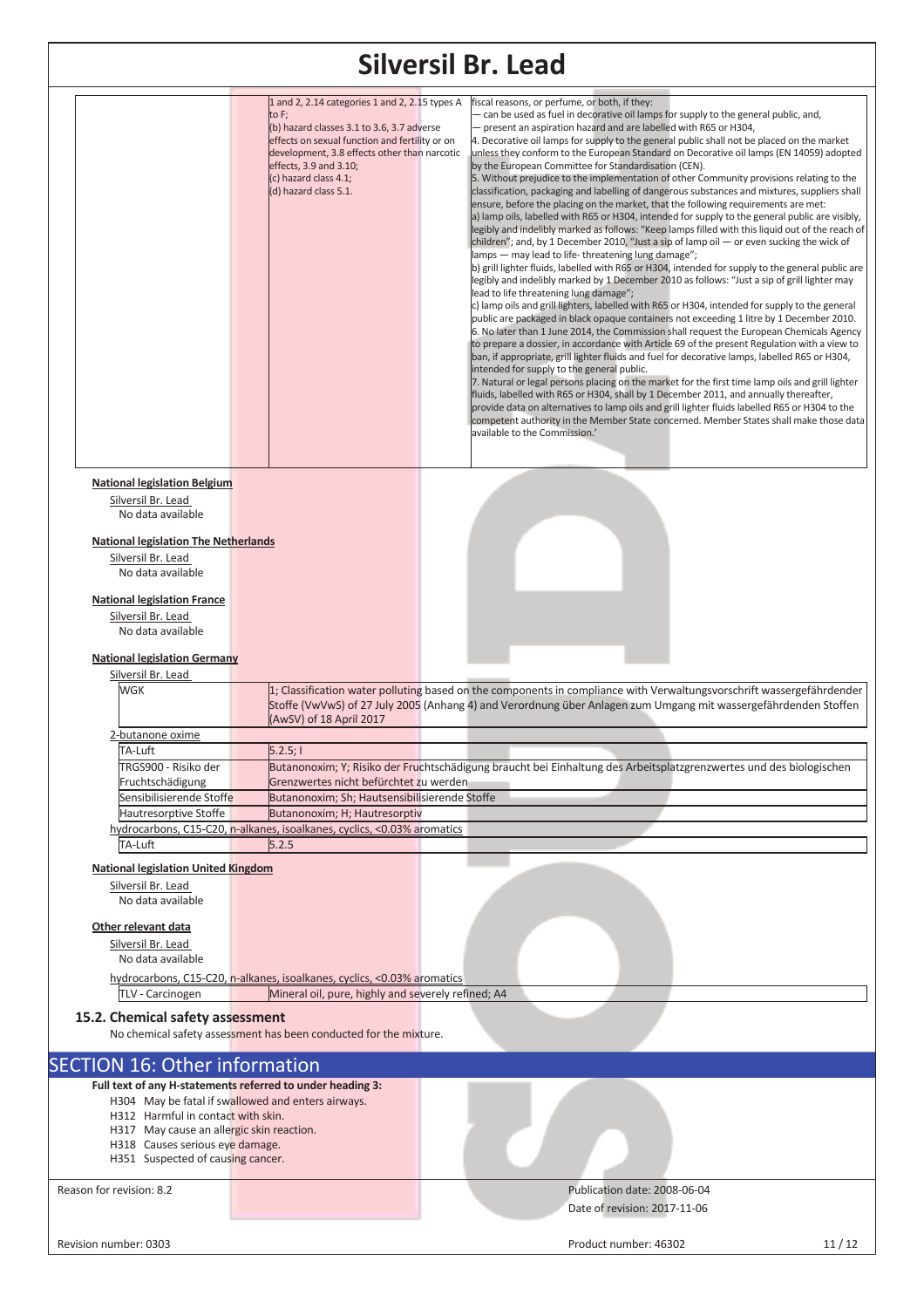|                                                                                        | 1 and 2, 2.14 categories 1 and 2, 2.15 types A<br>to F;<br>(b) hazard classes 3.1 to 3.6, 3.7 adverse<br>effects on sexual function and fertility or on<br>development, 3.8 effects other than narcotic<br>effects, 3.9 and 3.10;<br>(c) hazard class 4.1;<br>(d) hazard class 5.1. | fiscal reasons, or perfume, or both, if they:<br>- can be used as fuel in decorative oil lamps for supply to the general public, and,<br>- present an aspiration hazard and are labelled with R65 or H304,<br>4. Decorative oil lamps for supply to the general public shall not be placed on the market<br>unless they conform to the European Standard on Decorative oil lamps (EN 14059) adopted<br>by the European Committee for Standardisation (CEN).<br>5. Without prejudice to the implementation of other Community provisions relating to the<br>classification, packaging and labelling of dangerous substances and mixtures, suppliers shall<br>ensure, before the placing on the market, that the following requirements are met:<br>a) lamp oils, labelled with R65 or H304, intended for supply to the general public are visibly,<br>legibly and indelibly marked as follows: "Keep lamps filled with this liquid out of the reach of<br>children"; and, by 1 December 2010, "Just a sip of lamp oil — or even sucking the wick of<br>lamps - may lead to life-threatening lung damage";<br>b) grill lighter fluids, labelled with R65 or H304, intended for supply to the general public are<br>legibly and indelibly marked by 1 December 2010 as follows: "Just a sip of grill lighter may<br>lead to life threatening lung damage";<br>c) lamp oils and grill lighters, labelled with R65 or H304, intended for supply to the general<br>public are packaged in black opaque containers not exceeding 1 litre by 1 December 2010.<br>6. No later than 1 June 2014, the Commission shall request the European Chemicals Agency<br>to prepare a dossier, in accordance with Article 69 of the present Regulation with a view to<br>ban, if appropriate, grill lighter fluids and fuel for decorative lamps, labelled R65 or H304,<br>intended for supply to the general public.<br>7. Natural or legal persons placing on the market for the first time lamp oils and grill lighter<br>fluids, labelled with R65 or H304, shall by 1 December 2011, and annually thereafter,<br>provide data on alternatives to lamp oils and grill lighter fluids labelled R65 or H304 to the<br>competent authority in the Member State concerned. Member States shall make those data<br>available to the Commission.' |
|----------------------------------------------------------------------------------------|-------------------------------------------------------------------------------------------------------------------------------------------------------------------------------------------------------------------------------------------------------------------------------------|-----------------------------------------------------------------------------------------------------------------------------------------------------------------------------------------------------------------------------------------------------------------------------------------------------------------------------------------------------------------------------------------------------------------------------------------------------------------------------------------------------------------------------------------------------------------------------------------------------------------------------------------------------------------------------------------------------------------------------------------------------------------------------------------------------------------------------------------------------------------------------------------------------------------------------------------------------------------------------------------------------------------------------------------------------------------------------------------------------------------------------------------------------------------------------------------------------------------------------------------------------------------------------------------------------------------------------------------------------------------------------------------------------------------------------------------------------------------------------------------------------------------------------------------------------------------------------------------------------------------------------------------------------------------------------------------------------------------------------------------------------------------------------------------------------------------------------------------------------------------------------------------------------------------------------------------------------------------------------------------------------------------------------------------------------------------------------------------------------------------------------------------------------------------------------------------------------------------------------------------------------------------------------------------------------------------------------|
| <b>National legislation Belgium</b><br>Silversil Br. Lead<br>No data available         |                                                                                                                                                                                                                                                                                     |                                                                                                                                                                                                                                                                                                                                                                                                                                                                                                                                                                                                                                                                                                                                                                                                                                                                                                                                                                                                                                                                                                                                                                                                                                                                                                                                                                                                                                                                                                                                                                                                                                                                                                                                                                                                                                                                                                                                                                                                                                                                                                                                                                                                                                                                                                                             |
| <b>National legislation The Netherlands</b><br>Silversil Br. Lead<br>No data available |                                                                                                                                                                                                                                                                                     |                                                                                                                                                                                                                                                                                                                                                                                                                                                                                                                                                                                                                                                                                                                                                                                                                                                                                                                                                                                                                                                                                                                                                                                                                                                                                                                                                                                                                                                                                                                                                                                                                                                                                                                                                                                                                                                                                                                                                                                                                                                                                                                                                                                                                                                                                                                             |
| <b>National legislation France</b><br>Silversil Br. Lead<br>No data available          |                                                                                                                                                                                                                                                                                     |                                                                                                                                                                                                                                                                                                                                                                                                                                                                                                                                                                                                                                                                                                                                                                                                                                                                                                                                                                                                                                                                                                                                                                                                                                                                                                                                                                                                                                                                                                                                                                                                                                                                                                                                                                                                                                                                                                                                                                                                                                                                                                                                                                                                                                                                                                                             |
| <b>National legislation Germany</b>                                                    |                                                                                                                                                                                                                                                                                     |                                                                                                                                                                                                                                                                                                                                                                                                                                                                                                                                                                                                                                                                                                                                                                                                                                                                                                                                                                                                                                                                                                                                                                                                                                                                                                                                                                                                                                                                                                                                                                                                                                                                                                                                                                                                                                                                                                                                                                                                                                                                                                                                                                                                                                                                                                                             |
| Silversil Br. Lead<br>WGK                                                              | (AwSV) of 18 April 2017                                                                                                                                                                                                                                                             | 1; Classification water polluting based on the components in compliance with Verwaltungsvorschrift wassergefährdender<br>Stoffe (VwVwS) of 27 July 2005 (Anhang 4) and Verordnung über Anlagen zum Umgang mit wassergefährdenden Stoffen                                                                                                                                                                                                                                                                                                                                                                                                                                                                                                                                                                                                                                                                                                                                                                                                                                                                                                                                                                                                                                                                                                                                                                                                                                                                                                                                                                                                                                                                                                                                                                                                                                                                                                                                                                                                                                                                                                                                                                                                                                                                                    |
| 2-butanone oxime                                                                       |                                                                                                                                                                                                                                                                                     |                                                                                                                                                                                                                                                                                                                                                                                                                                                                                                                                                                                                                                                                                                                                                                                                                                                                                                                                                                                                                                                                                                                                                                                                                                                                                                                                                                                                                                                                                                                                                                                                                                                                                                                                                                                                                                                                                                                                                                                                                                                                                                                                                                                                                                                                                                                             |
| TA-Luft<br>TRGS900 - Risiko der                                                        | 5.2.5;                                                                                                                                                                                                                                                                              | Butanonoxim; Y; Risiko der Fruchtschädigung braucht bei Einhaltung des Arbeitsplatzgrenzwertes und des biologischen                                                                                                                                                                                                                                                                                                                                                                                                                                                                                                                                                                                                                                                                                                                                                                                                                                                                                                                                                                                                                                                                                                                                                                                                                                                                                                                                                                                                                                                                                                                                                                                                                                                                                                                                                                                                                                                                                                                                                                                                                                                                                                                                                                                                         |
| Fruchtschädigung                                                                       | Grenzwertes nicht befürchtet zu werden                                                                                                                                                                                                                                              |                                                                                                                                                                                                                                                                                                                                                                                                                                                                                                                                                                                                                                                                                                                                                                                                                                                                                                                                                                                                                                                                                                                                                                                                                                                                                                                                                                                                                                                                                                                                                                                                                                                                                                                                                                                                                                                                                                                                                                                                                                                                                                                                                                                                                                                                                                                             |
| Sensibilisierende Stoffe                                                               | Butanonoxim; Sh; Hautsensibilisierende Stoffe                                                                                                                                                                                                                                       |                                                                                                                                                                                                                                                                                                                                                                                                                                                                                                                                                                                                                                                                                                                                                                                                                                                                                                                                                                                                                                                                                                                                                                                                                                                                                                                                                                                                                                                                                                                                                                                                                                                                                                                                                                                                                                                                                                                                                                                                                                                                                                                                                                                                                                                                                                                             |
| <b>Hautresorptive Stoffe</b>                                                           | Butanonoxim; H; Hautresorptiv<br>hydrocarbons, C15-C20, n-alkanes, isoalkanes, cyclics, <0.03% aromatics                                                                                                                                                                            |                                                                                                                                                                                                                                                                                                                                                                                                                                                                                                                                                                                                                                                                                                                                                                                                                                                                                                                                                                                                                                                                                                                                                                                                                                                                                                                                                                                                                                                                                                                                                                                                                                                                                                                                                                                                                                                                                                                                                                                                                                                                                                                                                                                                                                                                                                                             |
| TA-Luft                                                                                | 5.2.5                                                                                                                                                                                                                                                                               |                                                                                                                                                                                                                                                                                                                                                                                                                                                                                                                                                                                                                                                                                                                                                                                                                                                                                                                                                                                                                                                                                                                                                                                                                                                                                                                                                                                                                                                                                                                                                                                                                                                                                                                                                                                                                                                                                                                                                                                                                                                                                                                                                                                                                                                                                                                             |
| <b>National legislation United Kingdom</b><br>Silversil Br. Lead<br>No data available  |                                                                                                                                                                                                                                                                                     |                                                                                                                                                                                                                                                                                                                                                                                                                                                                                                                                                                                                                                                                                                                                                                                                                                                                                                                                                                                                                                                                                                                                                                                                                                                                                                                                                                                                                                                                                                                                                                                                                                                                                                                                                                                                                                                                                                                                                                                                                                                                                                                                                                                                                                                                                                                             |
| Other relevant data<br>Silversil Br. Lead<br>No data available                         |                                                                                                                                                                                                                                                                                     |                                                                                                                                                                                                                                                                                                                                                                                                                                                                                                                                                                                                                                                                                                                                                                                                                                                                                                                                                                                                                                                                                                                                                                                                                                                                                                                                                                                                                                                                                                                                                                                                                                                                                                                                                                                                                                                                                                                                                                                                                                                                                                                                                                                                                                                                                                                             |
| TLV - Carcinogen                                                                       | hydrocarbons, C15-C20, n-alkanes, isoalkanes, cyclics, <0.03% aromatics<br>Mineral oil, pure, highly and severely refined; A4                                                                                                                                                       |                                                                                                                                                                                                                                                                                                                                                                                                                                                                                                                                                                                                                                                                                                                                                                                                                                                                                                                                                                                                                                                                                                                                                                                                                                                                                                                                                                                                                                                                                                                                                                                                                                                                                                                                                                                                                                                                                                                                                                                                                                                                                                                                                                                                                                                                                                                             |
| 15.2. Chemical safety assessment                                                       | No chemical safety assessment has been conducted for the mixture.                                                                                                                                                                                                                   |                                                                                                                                                                                                                                                                                                                                                                                                                                                                                                                                                                                                                                                                                                                                                                                                                                                                                                                                                                                                                                                                                                                                                                                                                                                                                                                                                                                                                                                                                                                                                                                                                                                                                                                                                                                                                                                                                                                                                                                                                                                                                                                                                                                                                                                                                                                             |
| <b>SECTION 16: Other information</b>                                                   |                                                                                                                                                                                                                                                                                     |                                                                                                                                                                                                                                                                                                                                                                                                                                                                                                                                                                                                                                                                                                                                                                                                                                                                                                                                                                                                                                                                                                                                                                                                                                                                                                                                                                                                                                                                                                                                                                                                                                                                                                                                                                                                                                                                                                                                                                                                                                                                                                                                                                                                                                                                                                                             |
|                                                                                        | Full text of any H-statements referred to under heading 3:                                                                                                                                                                                                                          |                                                                                                                                                                                                                                                                                                                                                                                                                                                                                                                                                                                                                                                                                                                                                                                                                                                                                                                                                                                                                                                                                                                                                                                                                                                                                                                                                                                                                                                                                                                                                                                                                                                                                                                                                                                                                                                                                                                                                                                                                                                                                                                                                                                                                                                                                                                             |
|                                                                                        | H304 May be fatal if swallowed and enters airways.                                                                                                                                                                                                                                  |                                                                                                                                                                                                                                                                                                                                                                                                                                                                                                                                                                                                                                                                                                                                                                                                                                                                                                                                                                                                                                                                                                                                                                                                                                                                                                                                                                                                                                                                                                                                                                                                                                                                                                                                                                                                                                                                                                                                                                                                                                                                                                                                                                                                                                                                                                                             |
| H312 Harmful in contact with skin.<br>H317 May cause an allergic skin reaction.        |                                                                                                                                                                                                                                                                                     |                                                                                                                                                                                                                                                                                                                                                                                                                                                                                                                                                                                                                                                                                                                                                                                                                                                                                                                                                                                                                                                                                                                                                                                                                                                                                                                                                                                                                                                                                                                                                                                                                                                                                                                                                                                                                                                                                                                                                                                                                                                                                                                                                                                                                                                                                                                             |
| H318 Causes serious eye damage.                                                        |                                                                                                                                                                                                                                                                                     |                                                                                                                                                                                                                                                                                                                                                                                                                                                                                                                                                                                                                                                                                                                                                                                                                                                                                                                                                                                                                                                                                                                                                                                                                                                                                                                                                                                                                                                                                                                                                                                                                                                                                                                                                                                                                                                                                                                                                                                                                                                                                                                                                                                                                                                                                                                             |
| H351 Suspected of causing cancer.                                                      |                                                                                                                                                                                                                                                                                     |                                                                                                                                                                                                                                                                                                                                                                                                                                                                                                                                                                                                                                                                                                                                                                                                                                                                                                                                                                                                                                                                                                                                                                                                                                                                                                                                                                                                                                                                                                                                                                                                                                                                                                                                                                                                                                                                                                                                                                                                                                                                                                                                                                                                                                                                                                                             |
| Reason for revision: 8.2                                                               |                                                                                                                                                                                                                                                                                     | Publication date: 2008-06-04<br>Date of revision: 2017-11-06                                                                                                                                                                                                                                                                                                                                                                                                                                                                                                                                                                                                                                                                                                                                                                                                                                                                                                                                                                                                                                                                                                                                                                                                                                                                                                                                                                                                                                                                                                                                                                                                                                                                                                                                                                                                                                                                                                                                                                                                                                                                                                                                                                                                                                                                |
| Revision number: 0303                                                                  |                                                                                                                                                                                                                                                                                     | 11/12<br>Product number: 46302                                                                                                                                                                                                                                                                                                                                                                                                                                                                                                                                                                                                                                                                                                                                                                                                                                                                                                                                                                                                                                                                                                                                                                                                                                                                                                                                                                                                                                                                                                                                                                                                                                                                                                                                                                                                                                                                                                                                                                                                                                                                                                                                                                                                                                                                                              |